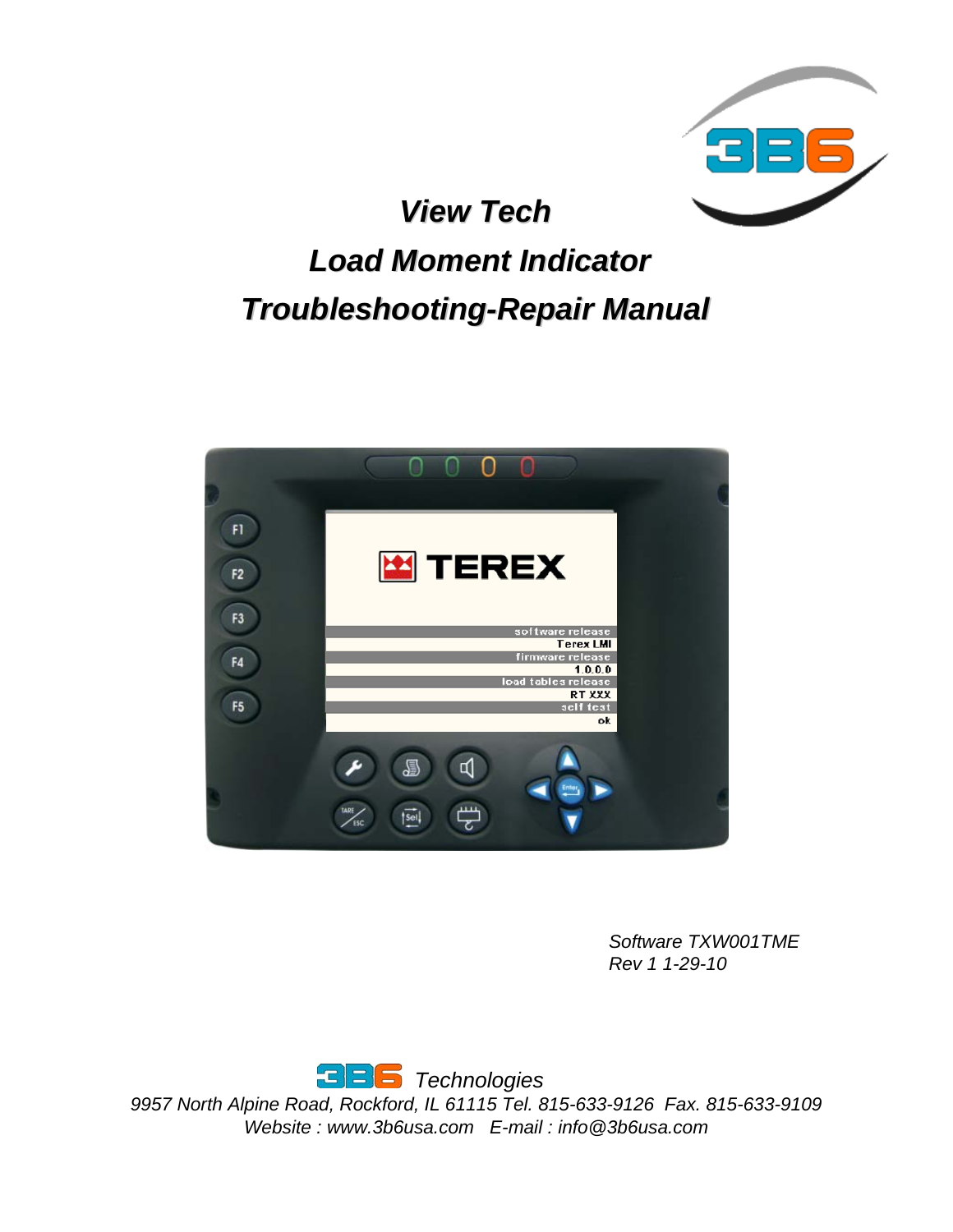

*View Tech View Tech* 

# *Load Moment Indicator Load Moment Indicator Troubleshooting Troubleshooting-Repair Manual Repair Manual*



*Software TXW001TME Rev 1 1-29-10*

*Technologies*

*9957 North Alpine Road, Rockford, IL 61115 Tel. 815-633-9126 Fax. 815-633-9109 Website : www.3b6usa.com E-mail : info@3b6usa.com*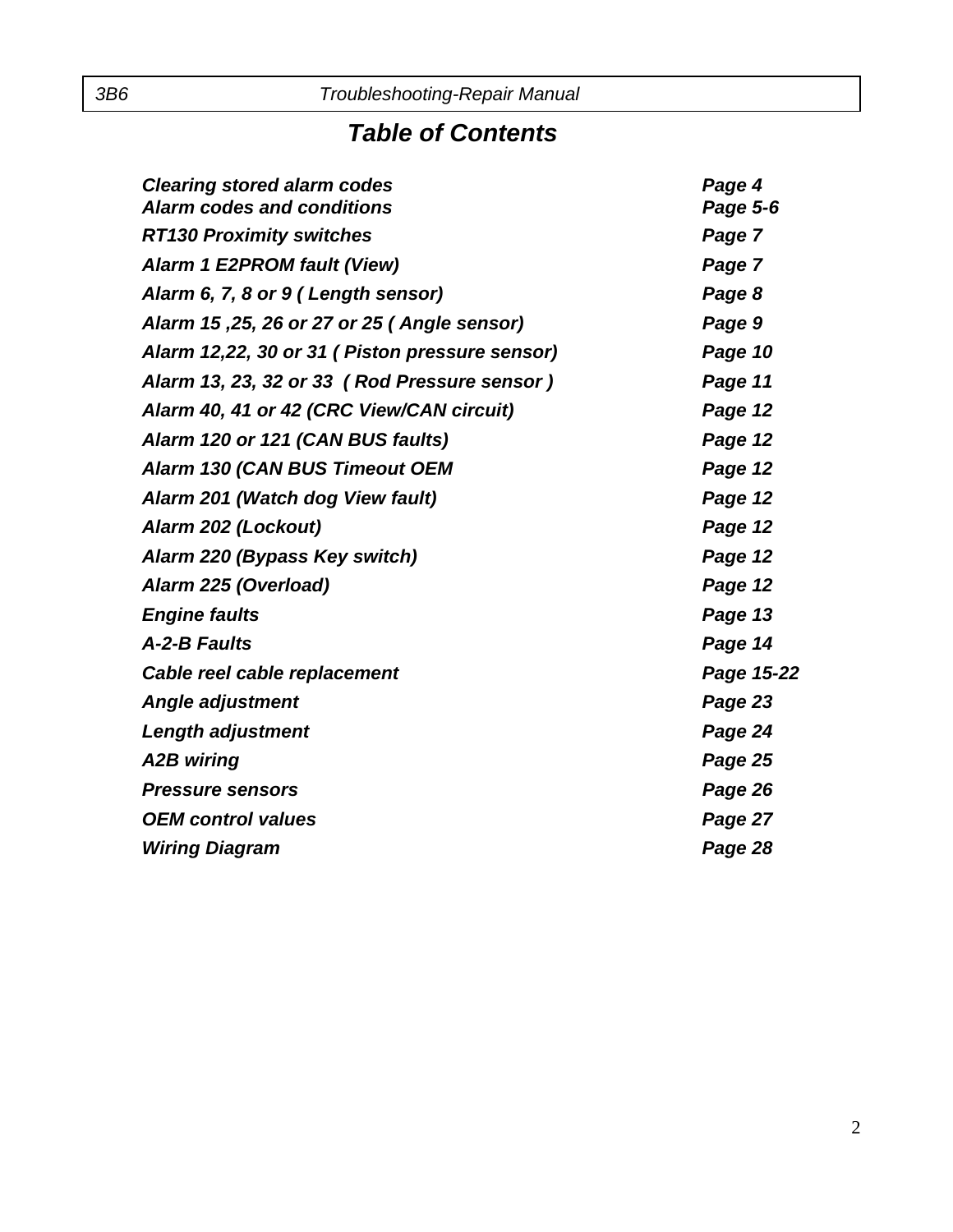### *Table of Contents*

| <b>Clearing stored alarm codes</b>              | Page 4     |
|-------------------------------------------------|------------|
| <b>Alarm codes and conditions</b>               | Page 5-6   |
| <b>RT130 Proximity switches</b>                 | Page 7     |
| <b>Alarm 1 E2PROM fault (View)</b>              | Page 7     |
| Alarm 6, 7, 8 or 9 (Length sensor)              | Page 8     |
| Alarm 15, 25, 26 or 27 or 25 (Angle sensor)     | Page 9     |
| Alarm 12,22, 30 or 31 ( Piston pressure sensor) | Page 10    |
| Alarm 13, 23, 32 or 33 (Rod Pressure sensor)    | Page 11    |
| Alarm 40, 41 or 42 (CRC View/CAN circuit)       | Page 12    |
| Alarm 120 or 121 (CAN BUS faults)               | Page 12    |
| <b>Alarm 130 (CAN BUS Timeout OEM</b>           | Page 12    |
| Alarm 201 (Watch dog View fault)                | Page 12    |
| Alarm 202 (Lockout)                             | Page 12    |
| Alarm 220 (Bypass Key switch)                   | Page 12    |
| Alarm 225 (Overload)                            | Page 12    |
| <b>Engine faults</b>                            | Page 13    |
| A-2-B Faults                                    | Page 14    |
| Cable reel cable replacement                    | Page 15-22 |
| <b>Angle adjustment</b>                         | Page 23    |
| Length adjustment                               | Page 24    |
| A2B wiring                                      | Page 25    |
| <b>Pressure sensors</b>                         | Page 26    |
| <b>OEM</b> control values                       | Page 27    |
| <b>Wiring Diagram</b>                           | Page 28    |
|                                                 |            |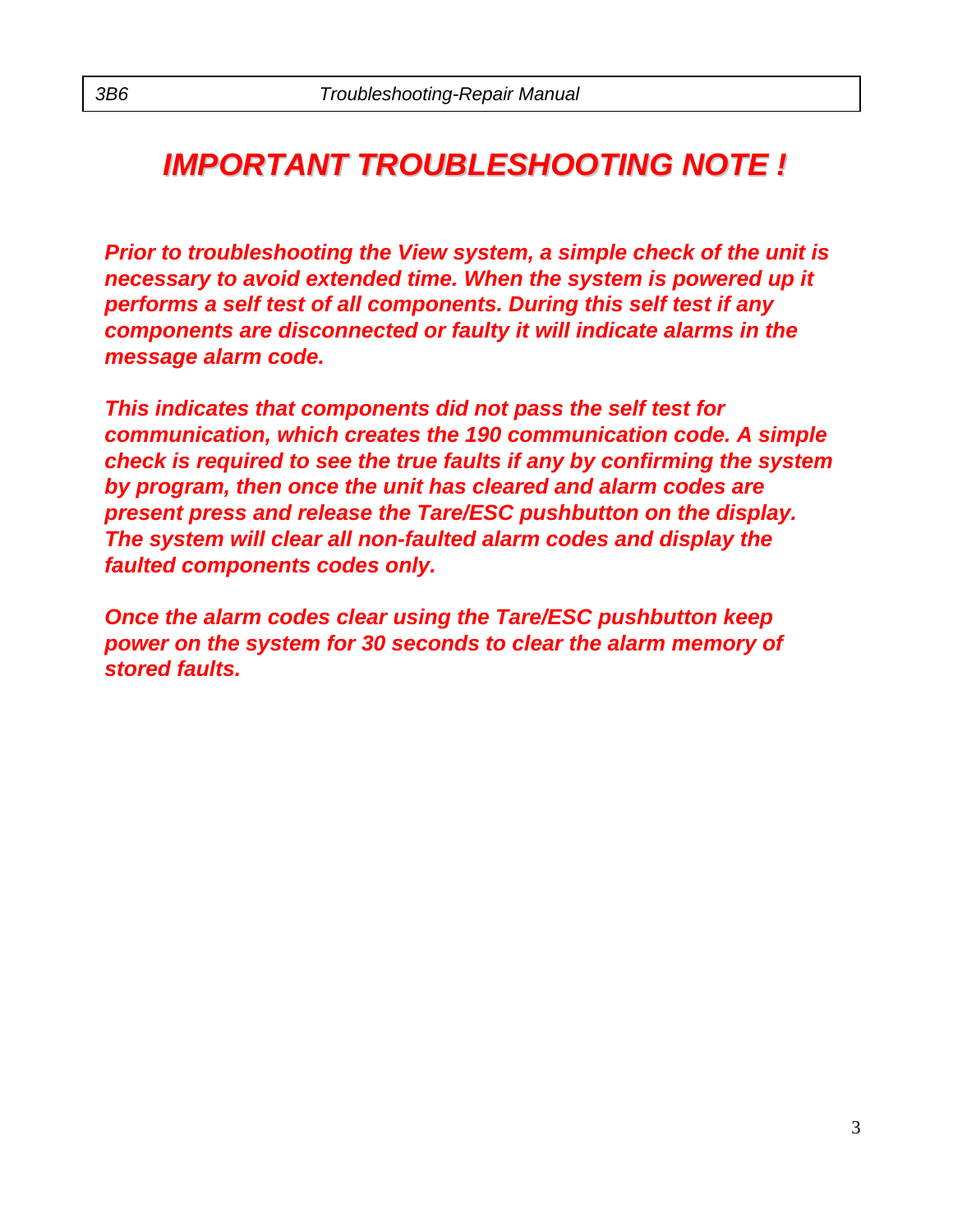## *IMPORTANT TROUBLESHOOTING NOTE ! IMPORTANT TROUBLESHOOTING NOTE !*

*Prior to troubleshooting the View system, a simple check of the unit is necessary to avoid extended time. When the system is powered up it performs a self test of all components. During this self test if any components are disconnected or faulty it will indicate alarms in the message alarm code.* 

*This indicates that components did not pass the self test for communication, which creates the 190 communication code. A simple check is required to see the true faults if any by confirming the system by program, then once the unit has cleared and alarm codes are present press and release the Tare/ESC pushbutton on the display. The system will clear all non-faulted alarm codes and display the faulted components codes only.*

*Once the alarm codes clear using the Tare/ESC pushbutton keep power on the system for 30 seconds to clear the alarm memory of stored faults.*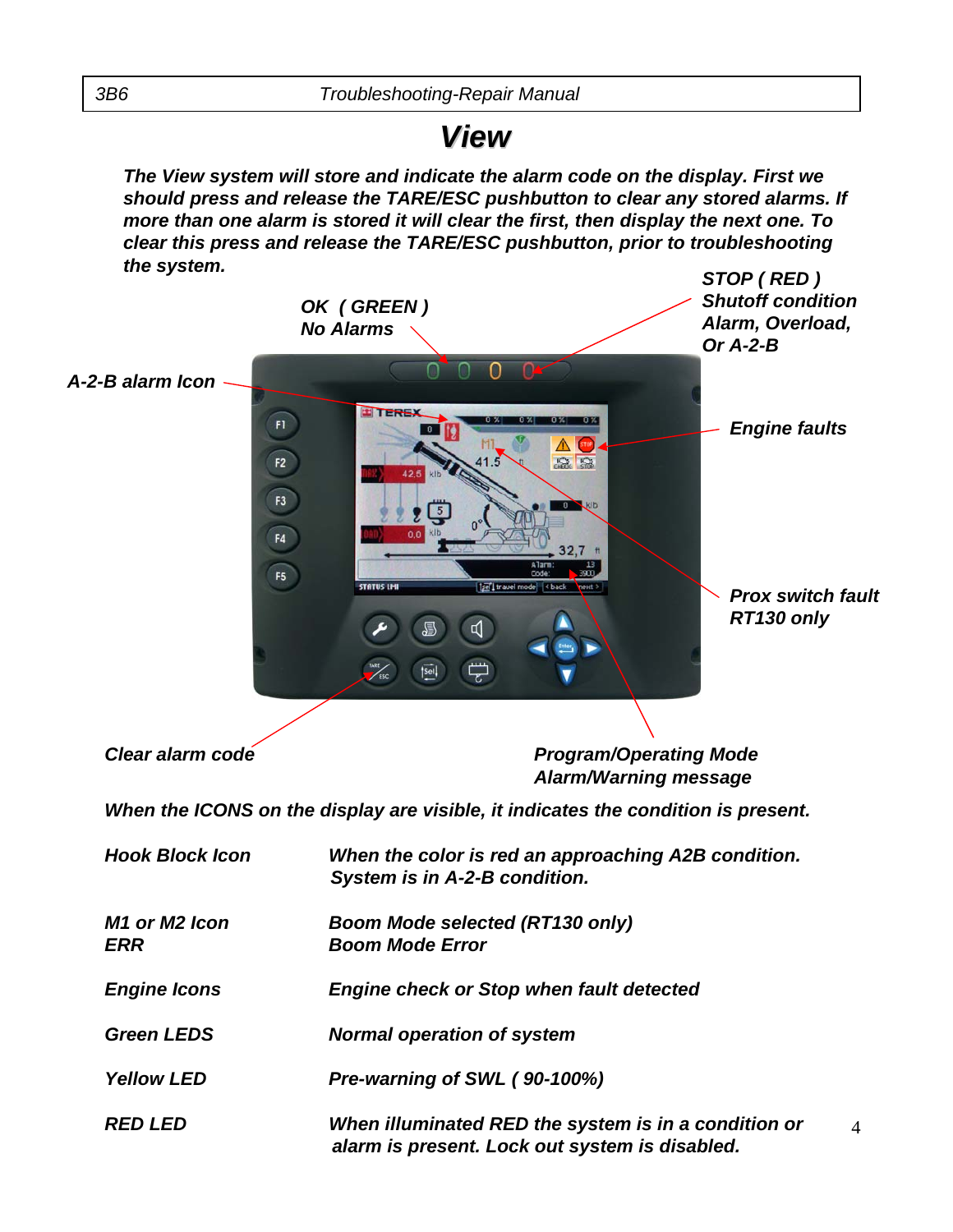### *View*

*The View system will store and indicate the alarm code on the display. First we should press and release the TARE/ESC pushbutton to clear any stored alarms. If more than one alarm is stored it will clear the first, then display the next one. To clear this press and release the TARE/ESC pushbutton, prior to troubleshooting the system.*



- *Yellow LED Pre-warning of SWL ( 90-100%)*
- *RED LED When illuminated RED the system is in a condition or alarm is present. Lock out system is disabled.*

 $\Delta$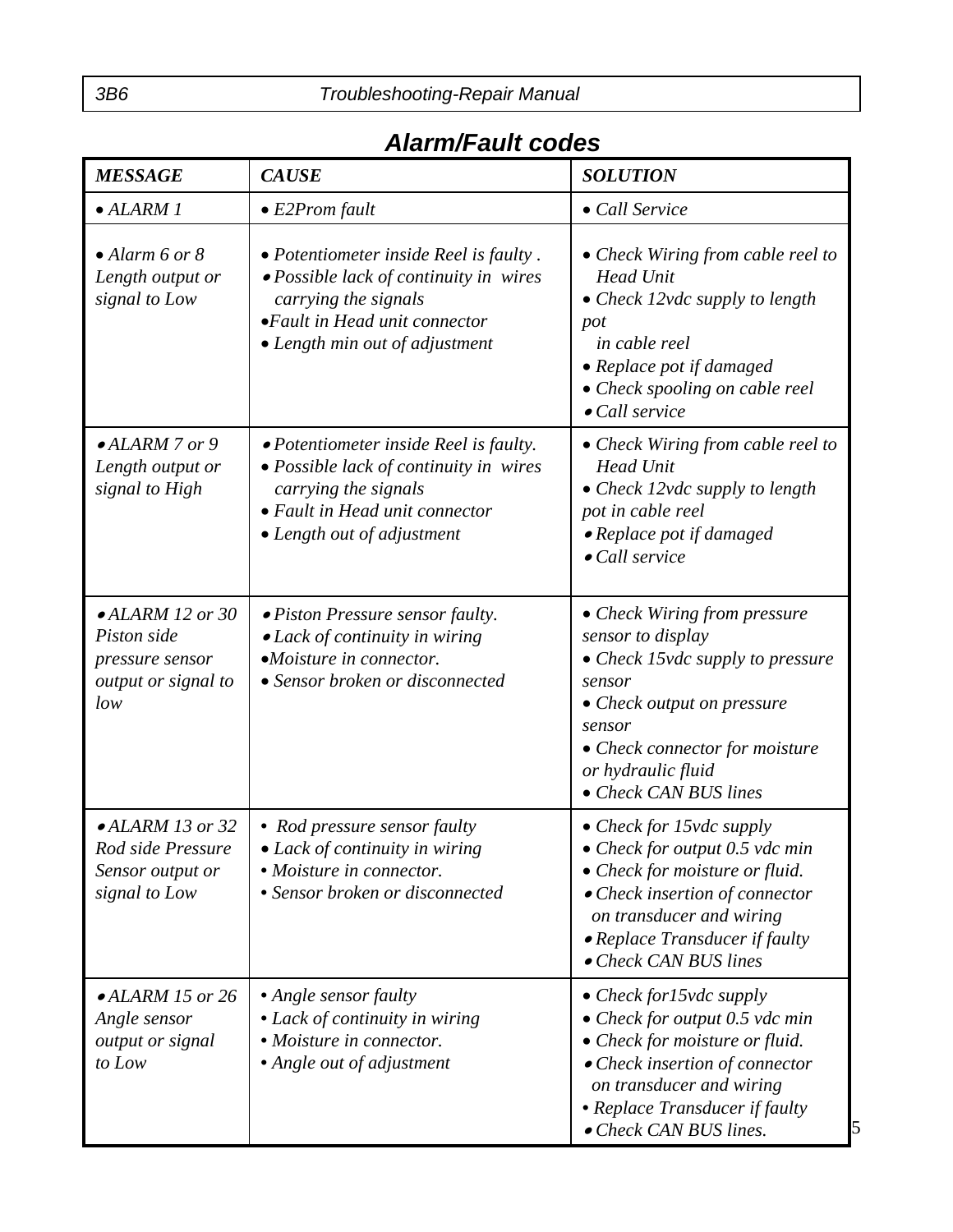### *Alarm/Fault codes*

| <b>MESSAGE</b>                                                                           | <b>CAUSE</b>                                                                                                                                                                 | <b>SOLUTION</b>                                                                                                                                                                                                             |
|------------------------------------------------------------------------------------------|------------------------------------------------------------------------------------------------------------------------------------------------------------------------------|-----------------------------------------------------------------------------------------------------------------------------------------------------------------------------------------------------------------------------|
| $\bullet$ ALARM 1                                                                        | $\bullet$ E2Prom fault                                                                                                                                                       | • Call Service                                                                                                                                                                                                              |
| $\bullet$ Alarm 6 or 8<br>Length output or<br>signal to Low                              | • Potentiometer inside Reel is faulty.<br>• Possible lack of continuity in wires<br>carrying the signals<br>• Fault in Head unit connector<br>• Length min out of adjustment | • Check Wiring from cable reel to<br><b>Head Unit</b><br>• Check $12$ vdc supply to length<br>pot<br>in cable reel<br>• Replace pot if damaged<br>• Check spooling on cable reel<br>$\bullet$ Call service                  |
| $\bullet$ ALARM 7 or 9<br>Length output or<br>signal to High                             | • Potentiometer inside Reel is faulty.<br>• Possible lack of continuity in wires<br>carrying the signals<br>• Fault in Head unit connector<br>• Length out of adjustment     | • Check Wiring from cable reel to<br><b>Head Unit</b><br>• Check 12vdc supply to length<br>pot in cable reel<br>• Replace pot if damaged<br>$\bullet$ Call service                                                          |
| $\bullet$ ALARM 12 or 30<br>Piston side<br>pressure sensor<br>output or signal to<br>low | • Piston Pressure sensor faulty.<br>• Lack of continuity in wiring<br>•Moisture in connector.<br>• Sensor broken or disconnected                                             | • Check Wiring from pressure<br>sensor to display<br>• Check 15vdc supply to pressure<br>sensor<br>• Check output on pressure<br>sensor<br>• Check connector for moisture<br>or hydraulic fluid<br>• Check CAN BUS lines    |
| $\bullet$ ALARM 13 or 32<br>Rod side Pressure<br>Sensor output or<br>signal to Low       | • Rod pressure sensor faulty<br>• Lack of continuity in wiring<br>· Moisture in connector.<br>• Sensor broken or disconnected                                                | • Check for 15vdc supply<br>• Check for output $0.5$ vdc min<br>• Check for moisture or fluid.<br>• Check insertion of connector<br>on transducer and wiring<br>• Replace Transducer if faulty<br>• Check CAN BUS lines     |
| $\bullet$ ALARM 15 or 26<br>Angle sensor<br>output or signal<br>to Low                   | • Angle sensor faulty<br>• Lack of continuity in wiring<br>• Moisture in connector.<br>• Angle out of adjustment                                                             | • Check for $15$ vdc supply<br>• Check for output $0.5$ vdc min<br>• Check for moisture or fluid.<br>• Check insertion of connector<br>on transducer and wiring<br>• Replace Transducer if faulty<br>• Check CAN BUS lines. |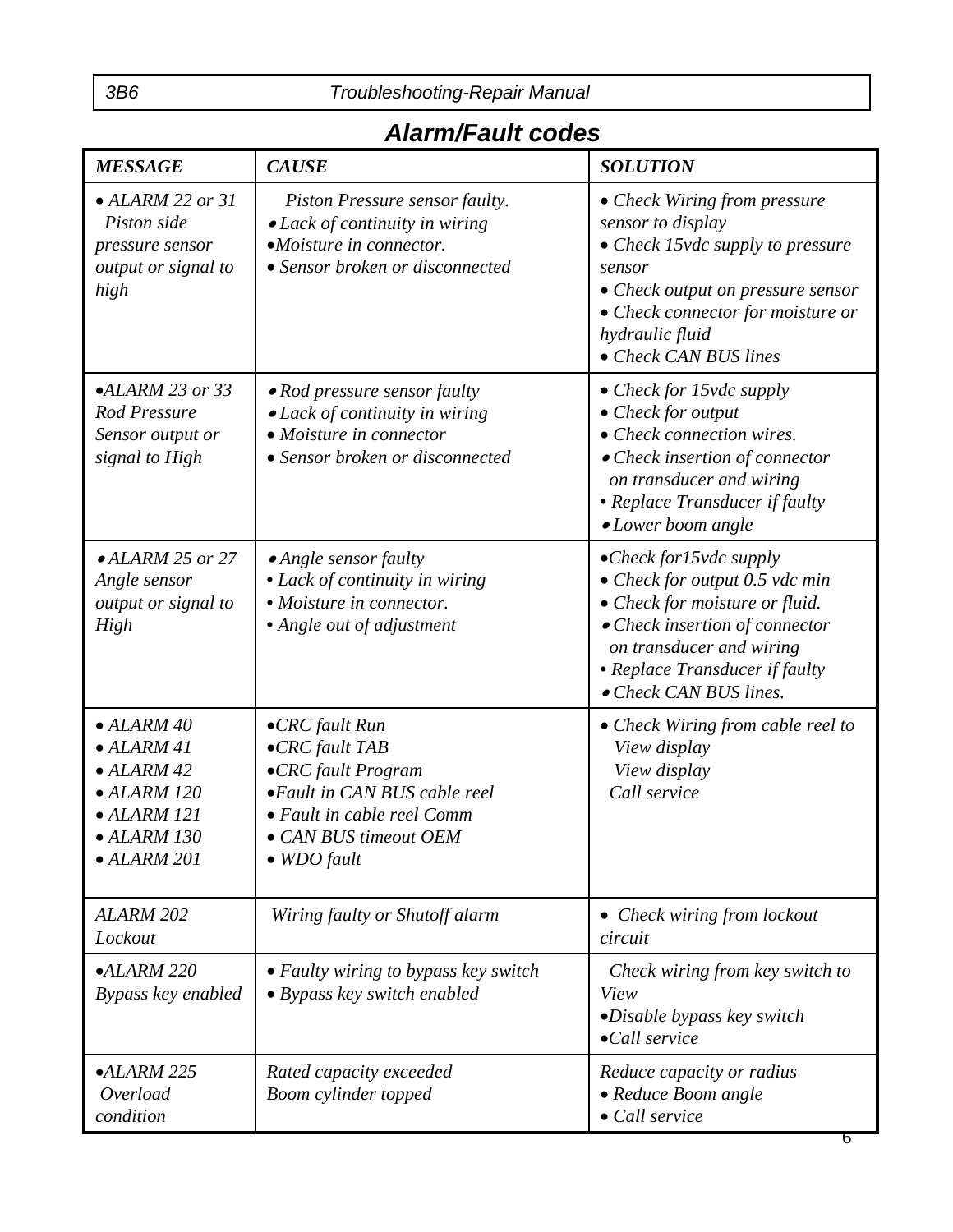### *Alarm/Fault codes*

| <b>MESSAGE</b>                                                                                                                                   | <b>CAUSE</b>                                                                                                                                                                       | <b>SOLUTION</b>                                                                                                                                                                                                             |  |
|--------------------------------------------------------------------------------------------------------------------------------------------------|------------------------------------------------------------------------------------------------------------------------------------------------------------------------------------|-----------------------------------------------------------------------------------------------------------------------------------------------------------------------------------------------------------------------------|--|
| $\bullet$ ALARM 22 or 31<br>Piston side<br>pressure sensor<br>output or signal to<br>high                                                        | Piston Pressure sensor faulty.<br>$\bullet$ Lack of continuity in wiring<br>•Moisture in connector.<br>• Sensor broken or disconnected                                             | • Check Wiring from pressure<br>sensor to display<br>• Check 15vdc supply to pressure<br>sensor<br>• Check output on pressure sensor<br>• Check connector for moisture or<br>hydraulic fluid<br>• Check CAN BUS lines       |  |
| $\bullet ALARM$ 23 or 33<br>Rod Pressure<br>Sensor output or<br>signal to High                                                                   | • Rod pressure sensor faulty<br>• Lack of continuity in wiring<br>• Moisture in connector<br>• Sensor broken or disconnected                                                       | • Check for 15vdc supply<br>$\bullet$ Check for output<br>• Check connection wires.<br>• Check insertion of connector<br>on transducer and wiring<br>• Replace Transducer if faulty<br>$\bullet$ Lower boom angle           |  |
| $\bullet$ ALARM 25 or 27<br>Angle sensor<br>output or signal to<br>High                                                                          | $\bullet$ Angle sensor faulty<br>• Lack of continuity in wiring<br>• Moisture in connector.<br>• Angle out of adjustment                                                           | • Check for $15$ vdc supply<br>• Check for output $0.5$ vdc min<br>• Check for moisture or fluid.<br>• Check insertion of connector<br>on transducer and wiring<br>• Replace Transducer if faulty<br>• Check CAN BUS lines. |  |
| $\bullet$ ALARM 40<br>$\bullet$ ALARM 41<br>$\bullet$ ALARM 42<br>$\bullet$ ALARM 120<br>$\bullet$ ALARM 121<br>ALARM 130<br>$\bullet$ ALARM 201 | $\bullet$ CRC fault Run<br>•CRC fault TAB<br>•CRC fault Program<br>•Fault in CAN BUS cable reel<br>• Fault in cable reel Comm<br><b>CAN BUS</b> timeout OEM<br>$\bullet$ WDO fault | • Check Wiring from cable reel to<br>View display<br>View display<br>Call service                                                                                                                                           |  |
| ALARM <sub>202</sub><br>Lockout                                                                                                                  | Wiring faulty or Shutoff alarm                                                                                                                                                     | • Check wiring from lockout<br>circuit                                                                                                                                                                                      |  |
| $\bullet ALARM$ 220<br>Bypass key enabled                                                                                                        | • Faulty wiring to bypass key switch<br>• Bypass key switch enabled                                                                                                                | Check wiring from key switch to<br>View<br>$\bullet$ Disable bypass key switch<br>•Call service                                                                                                                             |  |
| $\bullet ALARM$ 225<br>Overload<br>condition                                                                                                     | Rated capacity exceeded<br>Boom cylinder topped                                                                                                                                    | Reduce capacity or radius<br>· Reduce Boom angle<br>• Call service                                                                                                                                                          |  |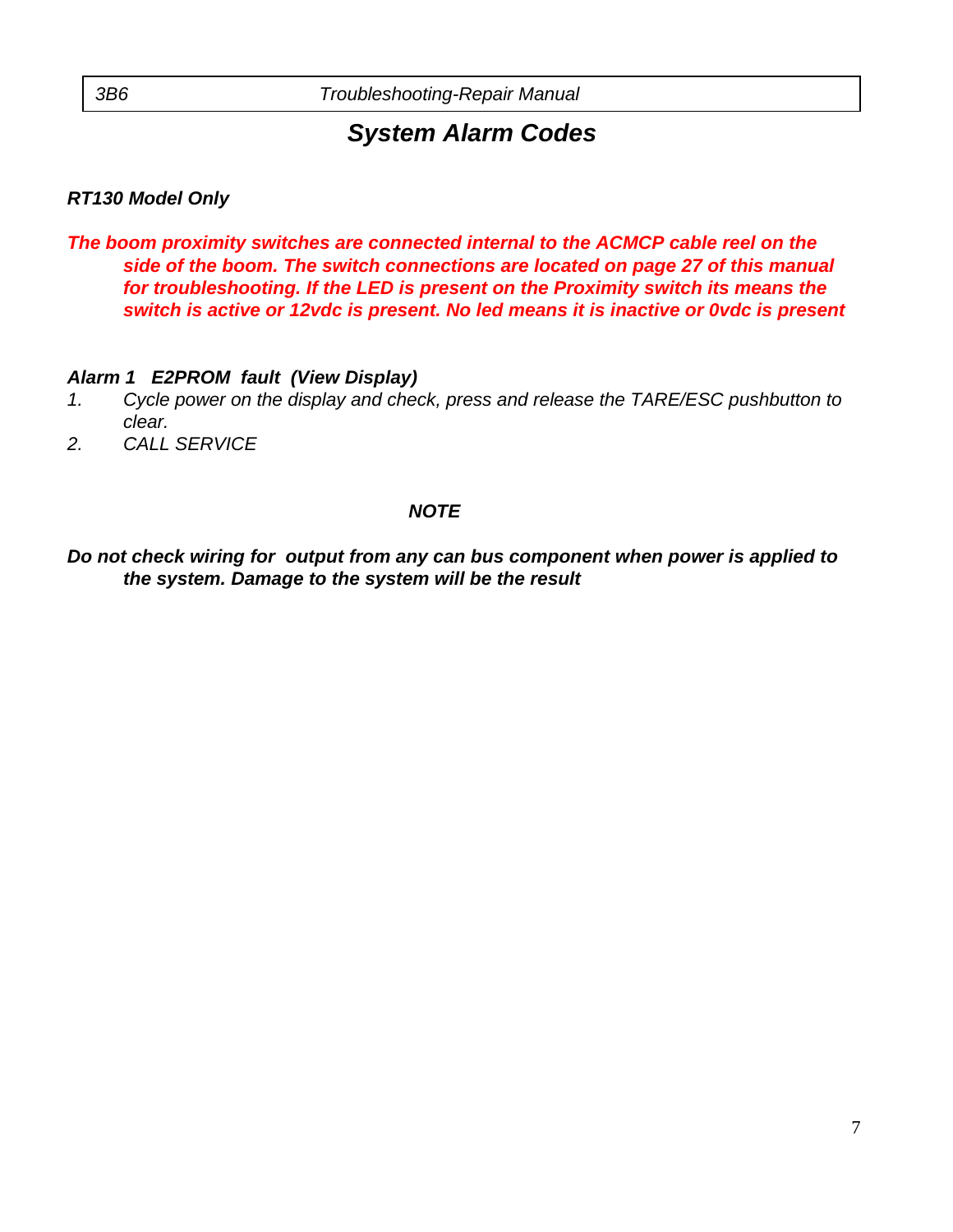#### *RT130 Model Only*

*The boom proximity switches are connected internal to the ACMCP cable reel on the side of the boom. The switch connections are located on page 27 of this manual for troubleshooting. If the LED is present on the Proximity switch its means the switch is active or 12vdc is present. No led means it is inactive or 0vdc is present*

#### *Alarm 1 E2PROM fault (View Display)*

- *1. Cycle power on the display and check, press and release the TARE/ESC pushbutton to clear.*
- *2. CALL SERVICE*

#### *NOTE*

*Do not check wiring for output from any can bus component when power is applied to the system. Damage to the system will be the result*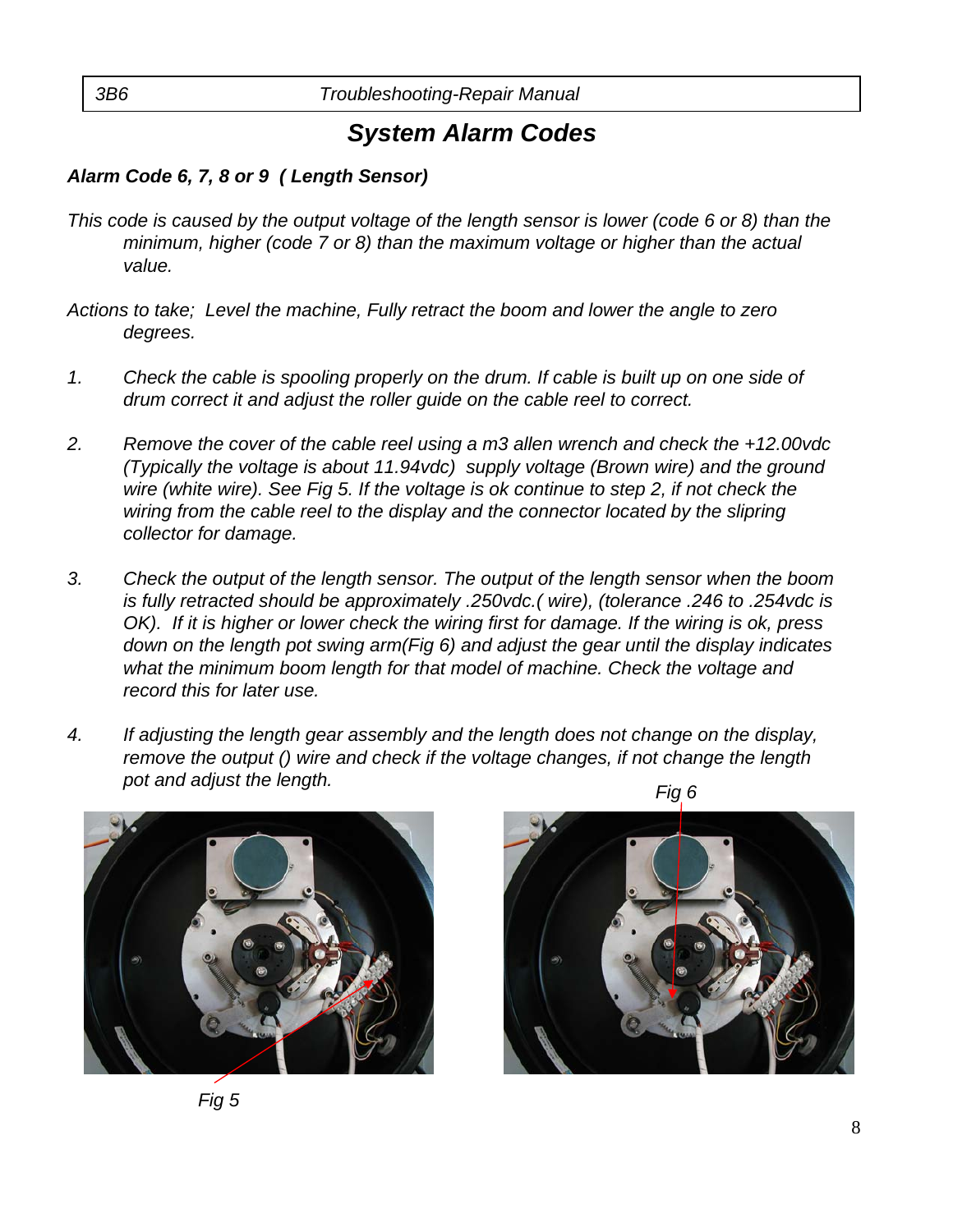#### *Alarm Code 6, 7, 8 or 9 ( Length Sensor)*

- *This code is caused by the output voltage of the length sensor is lower (code 6 or 8) than the minimum, higher (code 7 or 8) than the maximum voltage or higher than the actual value.*
- *Actions to take; Level the machine, Fully retract the boom and lower the angle to zero degrees.*
- *1. Check the cable is spooling properly on the drum. If cable is built up on one side of drum correct it and adjust the roller guide on the cable reel to correct.*
- *2. Remove the cover of the cable reel using a m3 allen wrench and check the +12.00vdc (Typically the voltage is about 11.94vdc) supply voltage (Brown wire) and the ground wire (white wire). See Fig 5. If the voltage is ok continue to step 2, if not check the wiring from the cable reel to the display and the connector located by the slipring collector for damage.*
- *3. Check the output of the length sensor. The output of the length sensor when the boom is fully retracted should be approximately .250vdc.( wire), (tolerance .246 to .254vdc is OK). If it is higher or lower check the wiring first for damage. If the wiring is ok, press down on the length pot swing arm(Fig 6) and adjust the gear until the display indicates what the minimum boom length for that model of machine. Check the voltage and record this for later use.*
- *Fig 6 4. If adjusting the length gear assembly and the length does not change on the display, remove the output () wire and check if the voltage changes, if not change the length pot and adjust the length.*



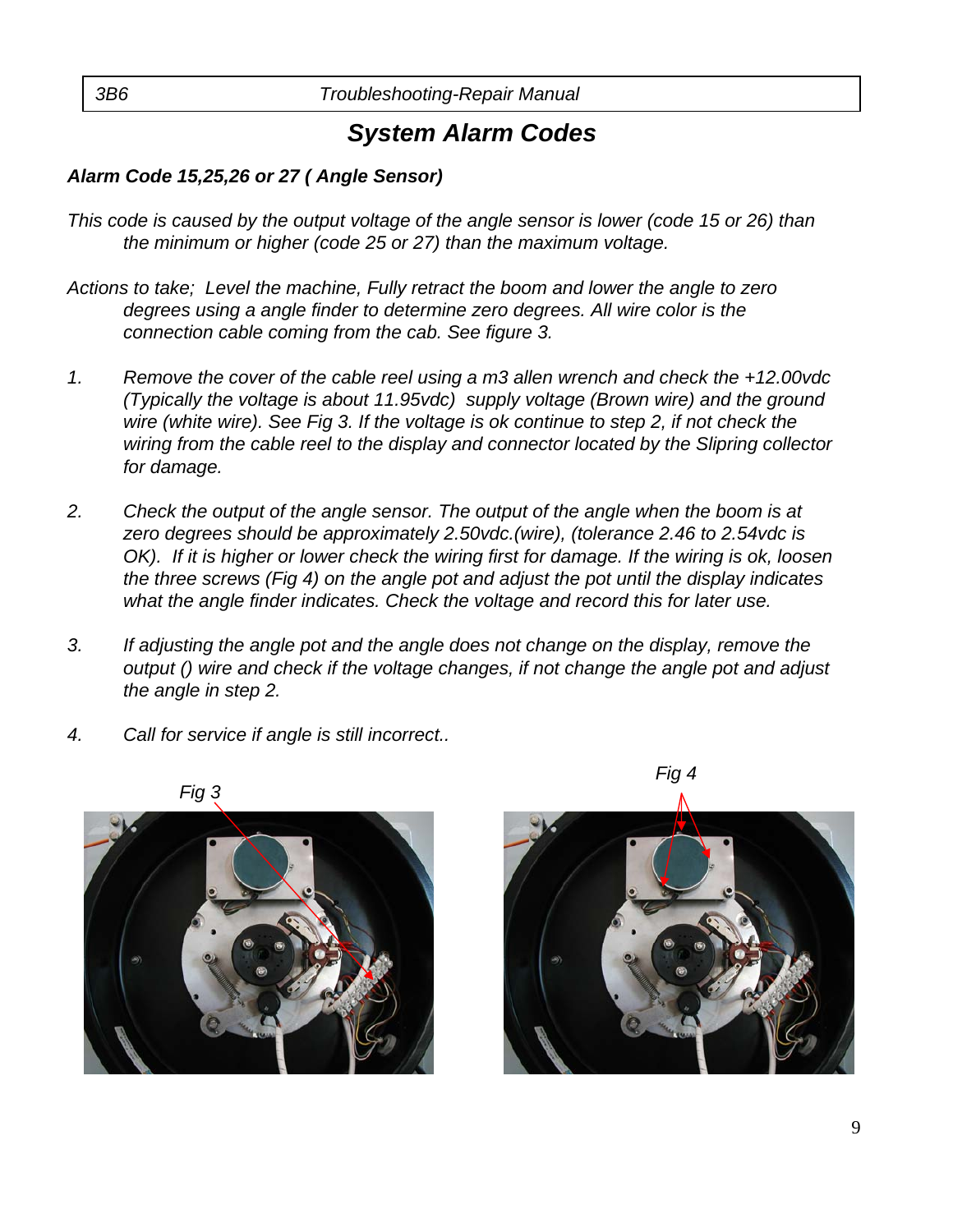#### *Alarm Code 15,25,26 or 27 ( Angle Sensor)*

- *This code is caused by the output voltage of the angle sensor is lower (code 15 or 26) than the minimum or higher (code 25 or 27) than the maximum voltage.*
- *Actions to take; Level the machine, Fully retract the boom and lower the angle to zero degrees using a angle finder to determine zero degrees. All wire color is the connection cable coming from the cab. See figure 3.*
- *1. Remove the cover of the cable reel using a m3 allen wrench and check the +12.00vdc (Typically the voltage is about 11.95vdc) supply voltage (Brown wire) and the ground wire (white wire). See Fig 3. If the voltage is ok continue to step 2, if not check the wiring from the cable reel to the display and connector located by the Slipring collector for damage.*
- *2. Check the output of the angle sensor. The output of the angle when the boom is at zero degrees should be approximately 2.50vdc.(wire), (tolerance 2.46 to 2.54vdc is OK*). If it is higher or lower check the wiring first for damage. If the wiring is ok, loosen *the three screws (Fig 4) on the angle pot and adjust the pot until the display indicates what the angle finder indicates. Check the voltage and record this for later use.*
- *3. If adjusting the angle pot and the angle does not change on the display, remove the output () wire and check if the voltage changes, if not change the angle pot and adjust the angle in step 2.*
- *4. Call for service if angle is still incorrect..*



*Fig 3* 



*Fig 4*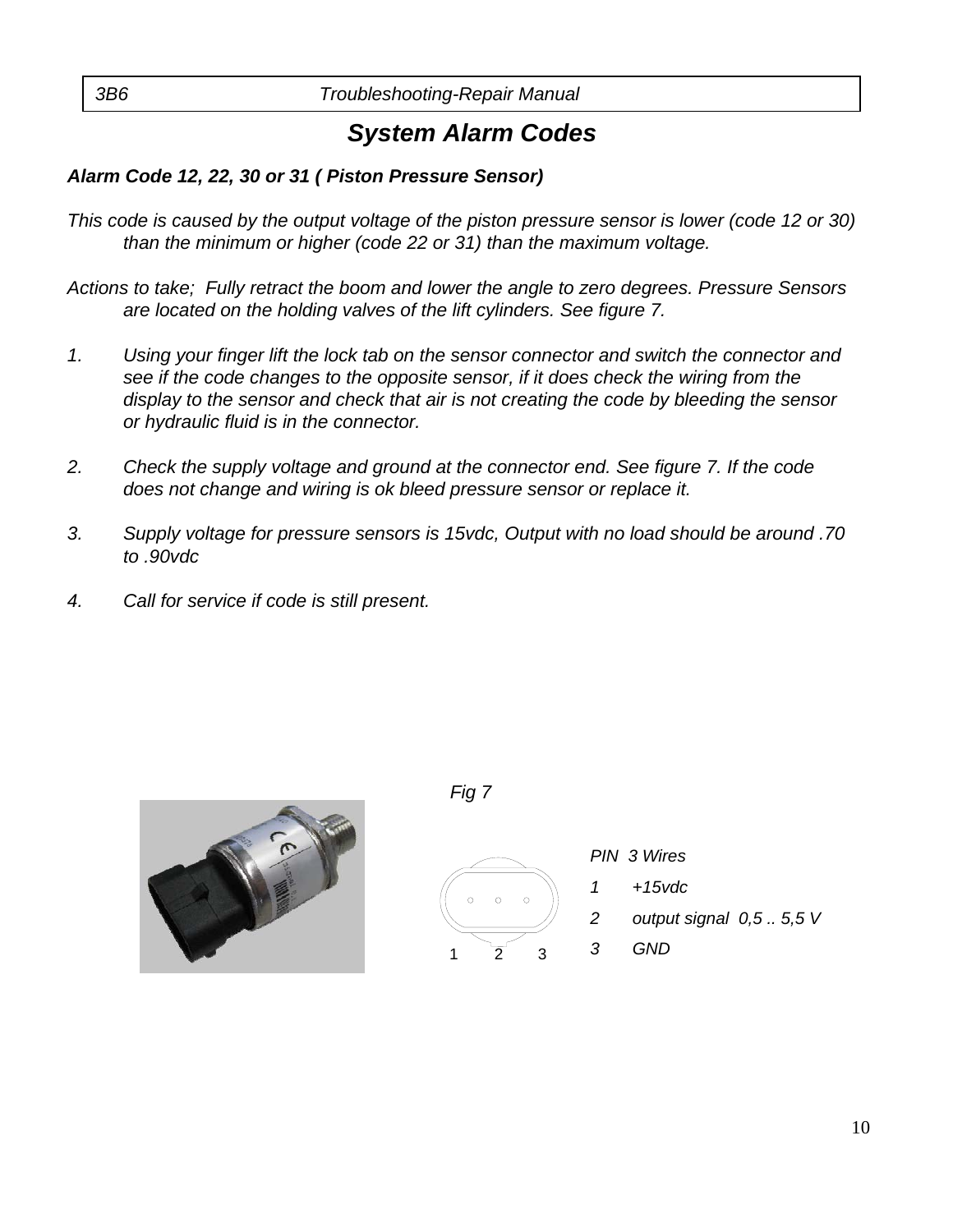#### *Alarm Code 12, 22, 30 or 31 ( Piston Pressure Sensor)*

- *This code is caused by the output voltage of the piston pressure sensor is lower (code 12 or 30) than the minimum or higher (code 22 or 31) than the maximum voltage.*
- *Actions to take; Fully retract the boom and lower the angle to zero degrees. Pressure Sensors are located on the holding valves of the lift cylinders. See figure 7.*
- *1. Using your finger lift the lock tab on the sensor connector and switch the connector and see if the code changes to the opposite sensor, if it does check the wiring from the display to the sensor and check that air is not creating the code by bleeding the sensor or hydraulic fluid is in the connector.*
- *2. Check the supply voltage and ground at the connector end. See figure 7. If the code does not change and wiring is ok bleed pressure sensor or replace it.*
- *3. Supply voltage for pressure sensors is 15vdc, Output with no load should be around .70 to .90vdc*
- *4. Call for service if code is still present.*



*Fig 7* 



*PIN 3 Wires 1 +15vdc 2 output signal 0,5 .. 5,5 V 3 GND*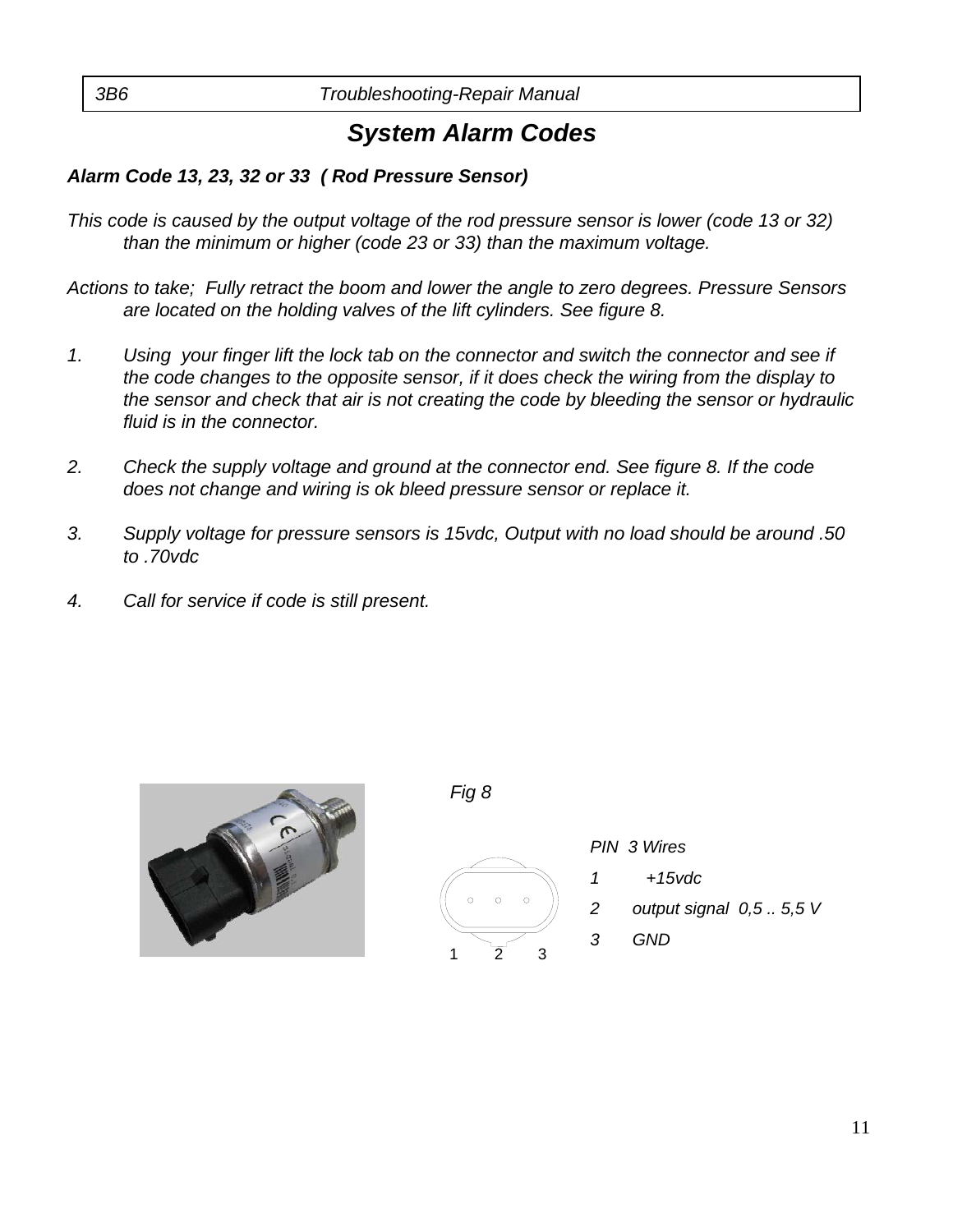#### *Alarm Code 13, 23, 32 or 33 ( Rod Pressure Sensor)*

- *This code is caused by the output voltage of the rod pressure sensor is lower (code 13 or 32) than the minimum or higher (code 23 or 33) than the maximum voltage.*
- *Actions to take; Fully retract the boom and lower the angle to zero degrees. Pressure Sensors are located on the holding valves of the lift cylinders. See figure 8.*
- *1. Using your finger lift the lock tab on the connector and switch the connector and see if the code changes to the opposite sensor, if it does check the wiring from the display to the sensor and check that air is not creating the code by bleeding the sensor or hydraulic fluid is in the connector.*
- *2. Check the supply voltage and ground at the connector end. See figure 8. If the code does not change and wiring is ok bleed pressure sensor or replace it.*
- *3. Supply voltage for pressure sensors is 15vdc, Output with no load should be around .50 to .70vdc*
- *4. Call for service if code is still present.*



*Fig 8* 



*PIN 3 Wires 1 +15vdc 2 output signal 0,5 .. 5,5 V 3 GND*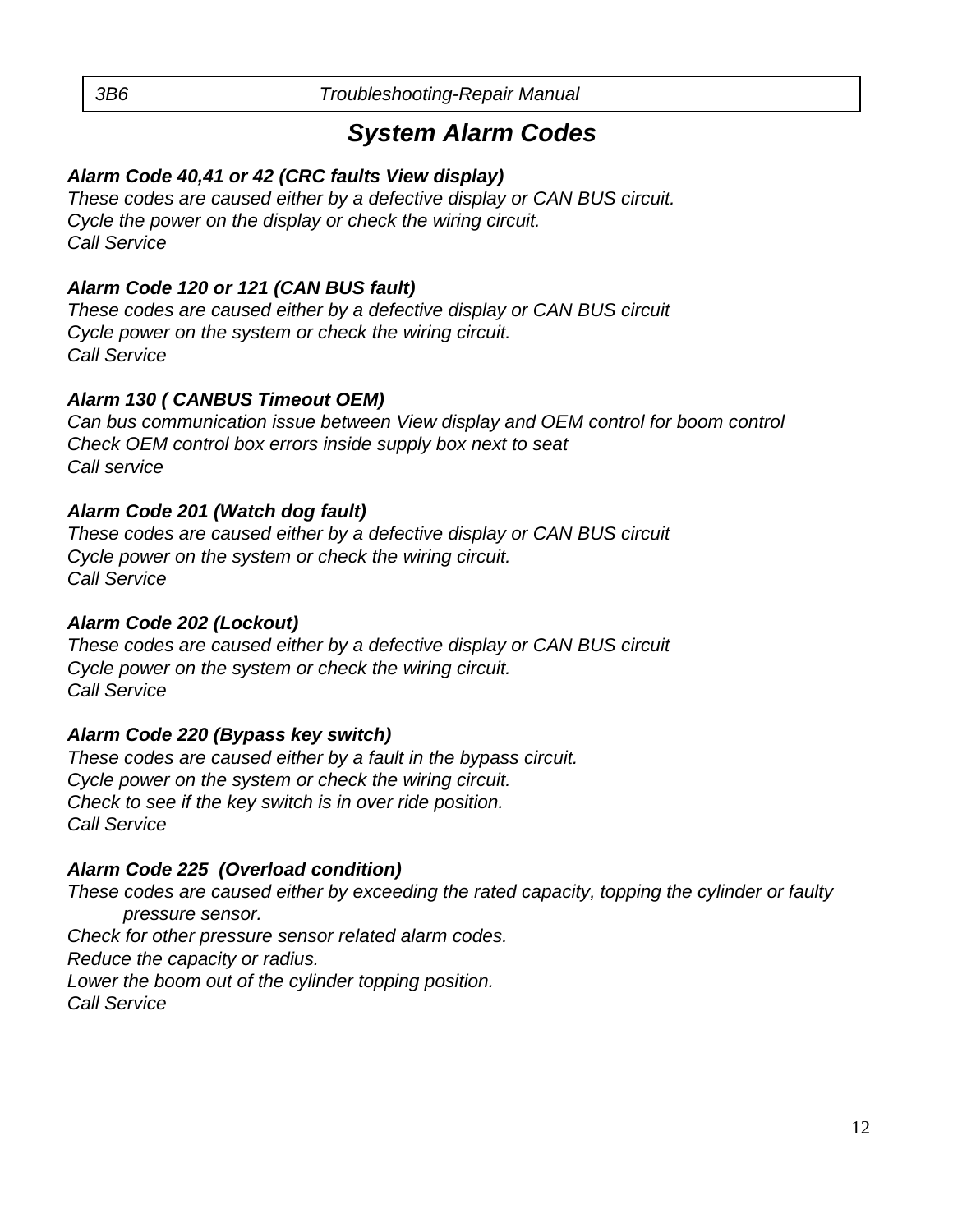#### *Alarm Code 40,41 or 42 (CRC faults View display)*

*These codes are caused either by a defective display or CAN BUS circuit. Cycle the power on the display or check the wiring circuit. Call Service*

#### *Alarm Code 120 or 121 (CAN BUS fault)*

*These codes are caused either by a defective display or CAN BUS circuit Cycle power on the system or check the wiring circuit. Call Service*

#### *Alarm 130 ( CANBUS Timeout OEM)*

*Can bus communication issue between View display and OEM control for boom control Check OEM control box errors inside supply box next to seat Call service*

#### *Alarm Code 201 (Watch dog fault)*

*These codes are caused either by a defective display or CAN BUS circuit Cycle power on the system or check the wiring circuit. Call Service*

#### *Alarm Code 202 (Lockout)*

*These codes are caused either by a defective display or CAN BUS circuit Cycle power on the system or check the wiring circuit. Call Service*

#### *Alarm Code 220 (Bypass key switch)*

*These codes are caused either by a fault in the bypass circuit. Cycle power on the system or check the wiring circuit. Check to see if the key switch is in over ride position. Call Service*

#### *Alarm Code 225 (Overload condition)*

*These codes are caused either by exceeding the rated capacity, topping the cylinder or faulty pressure sensor. Check for other pressure sensor related alarm codes. Reduce the capacity or radius.*

*Lower the boom out of the cylinder topping position.* 

*Call Service*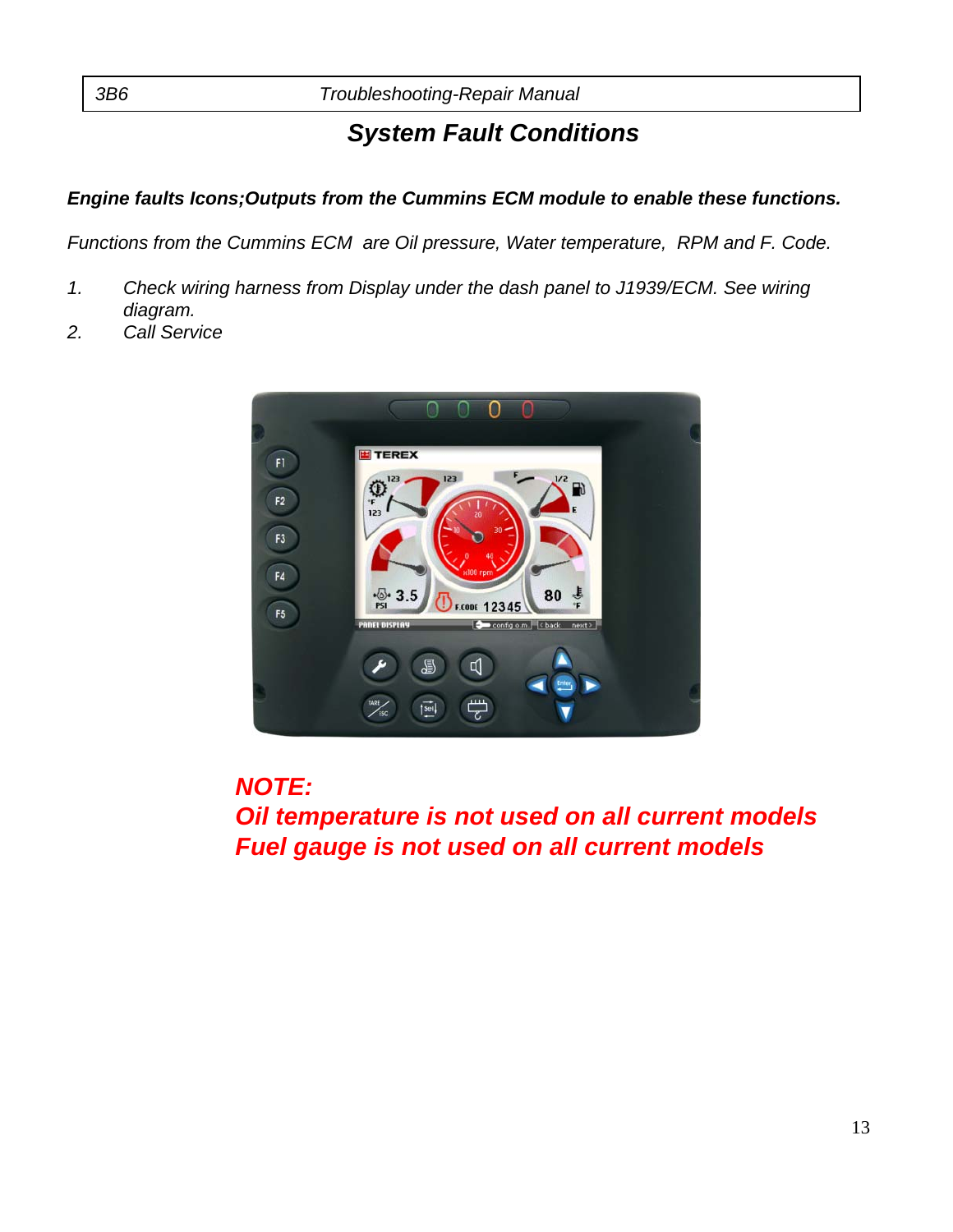### *System Fault Conditions*

#### *Engine faults Icons;Outputs from the Cummins ECM module to enable these functions.*

*Functions from the Cummins ECM are Oil pressure, Water temperature, RPM and F. Code.* 

- *1. Check wiring harness from Display under the dash panel to J1939/ECM. See wiring diagram.*
- *2. Call Service*



*NOTE:*

*Oil temperature is not used on all current models Fuel gauge is not used on all current models*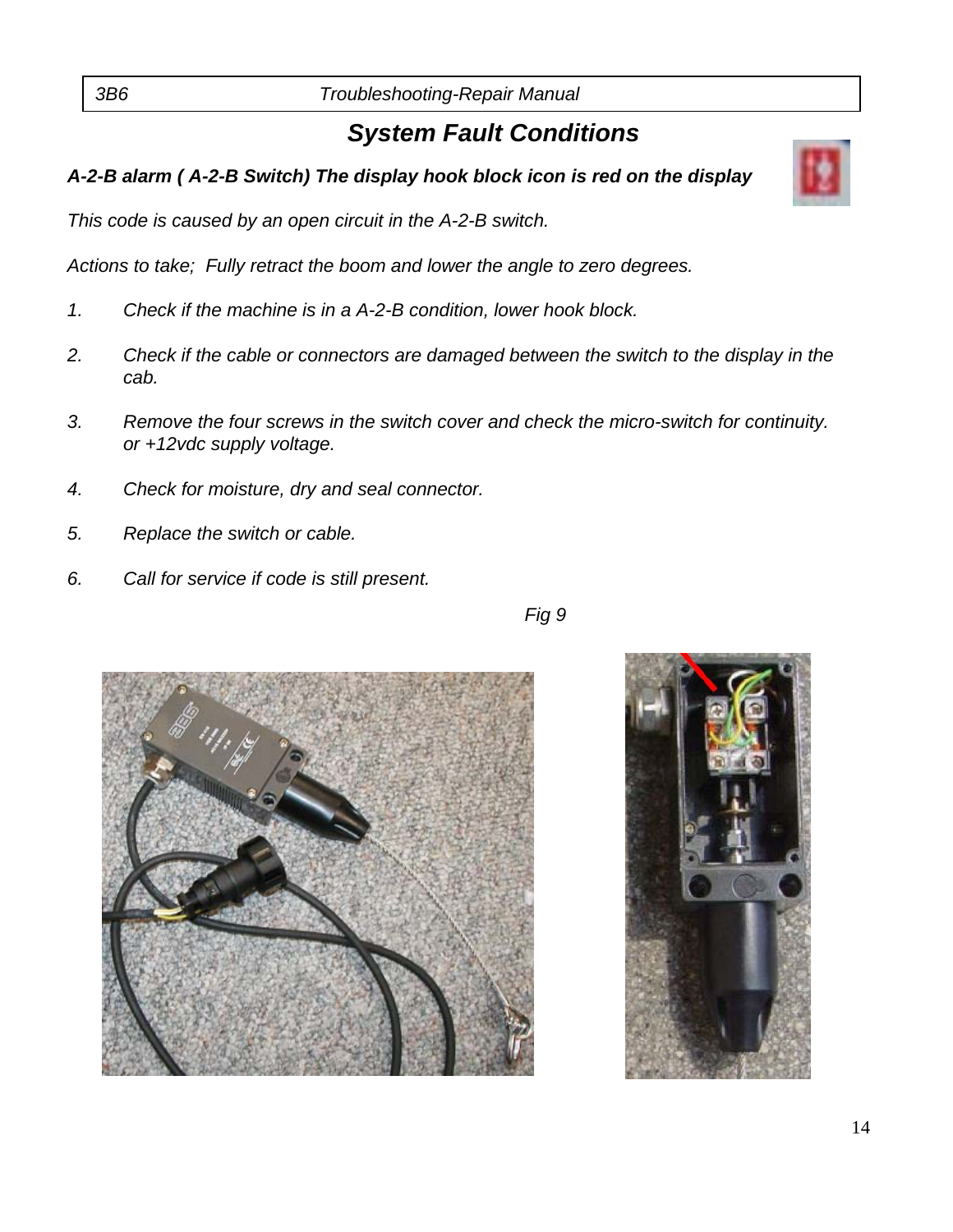### *System Fault Conditions*

#### *A-2-B alarm ( A-2-B Switch) The display hook block icon is red on the display*

*This code is caused by an open circuit in the A-2-B switch.*

*Actions to take; Fully retract the boom and lower the angle to zero degrees.* 

- *1. Check if the machine is in a A-2-B condition, lower hook block.*
- *2. Check if the cable or connectors are damaged between the switch to the display in the cab.*
- *3. Remove the four screws in the switch cover and check the micro-switch for continuity. or +12vdc supply voltage.*
- *4. Check for moisture, dry and seal connector.*
- *5. Replace the switch or cable.*
- *6. Call for service if code is still present.*



*Fig 9* 



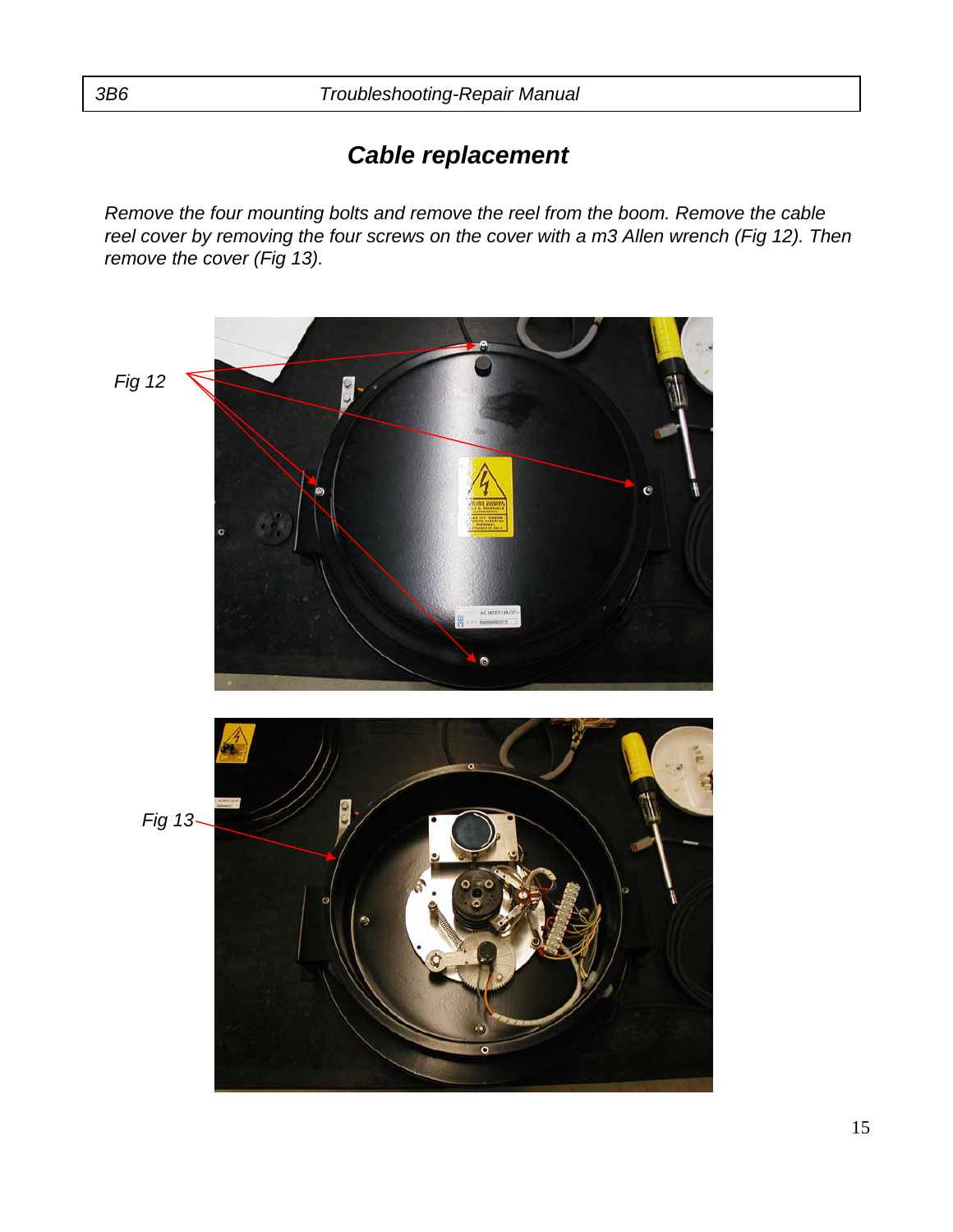*Remove the four mounting bolts and remove the reel from the boom. Remove the cable reel cover by removing the four screws on the cover with a m3 Allen wrench (Fig 12). Then remove the cover (Fig 13).*

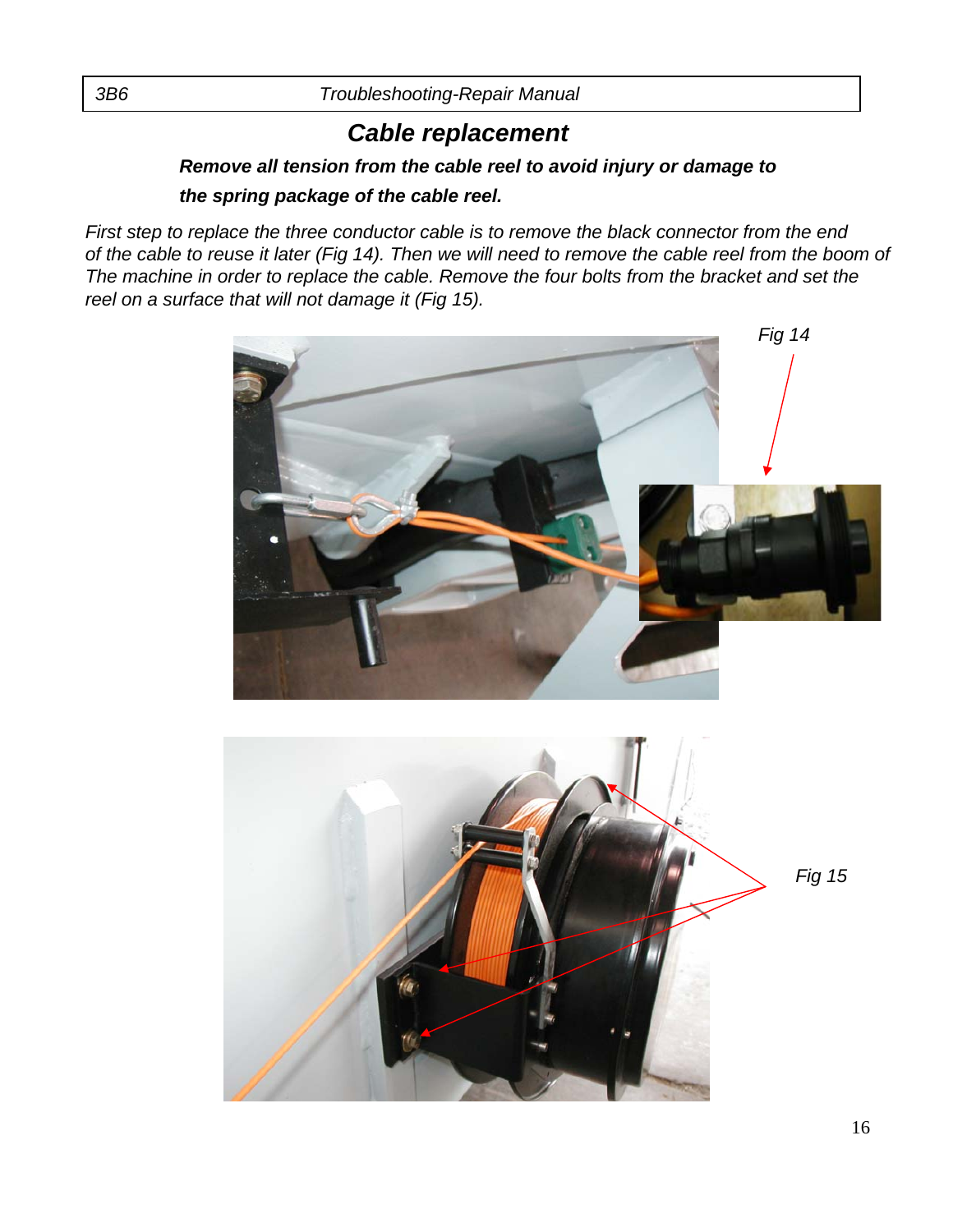#### *Remove all tension from the cable reel to avoid injury or damage to the spring package of the cable reel.*

*First step to replace the three conductor cable is to remove the black connector from the end of the cable to reuse it later (Fig 14). Then we will need to remove the cable reel from the boom of The machine in order to replace the cable. Remove the four bolts from the bracket and set the reel on a surface that will not damage it (Fig 15).*



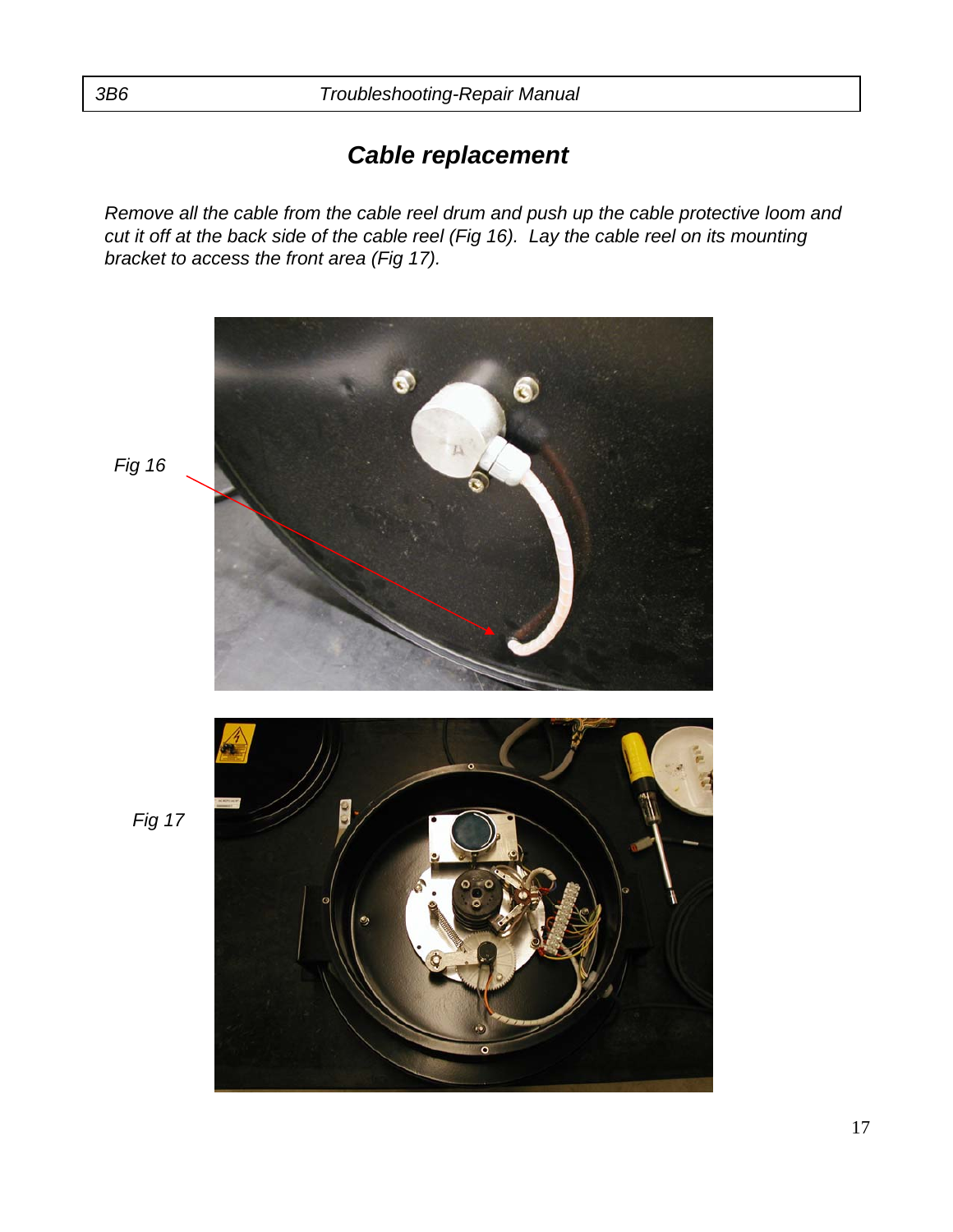*Remove all the cable from the cable reel drum and push up the cable protective loom and cut it off at the back side of the cable reel (Fig 16). Lay the cable reel on its mounting bracket to access the front area (Fig 17).*



*Fig 16*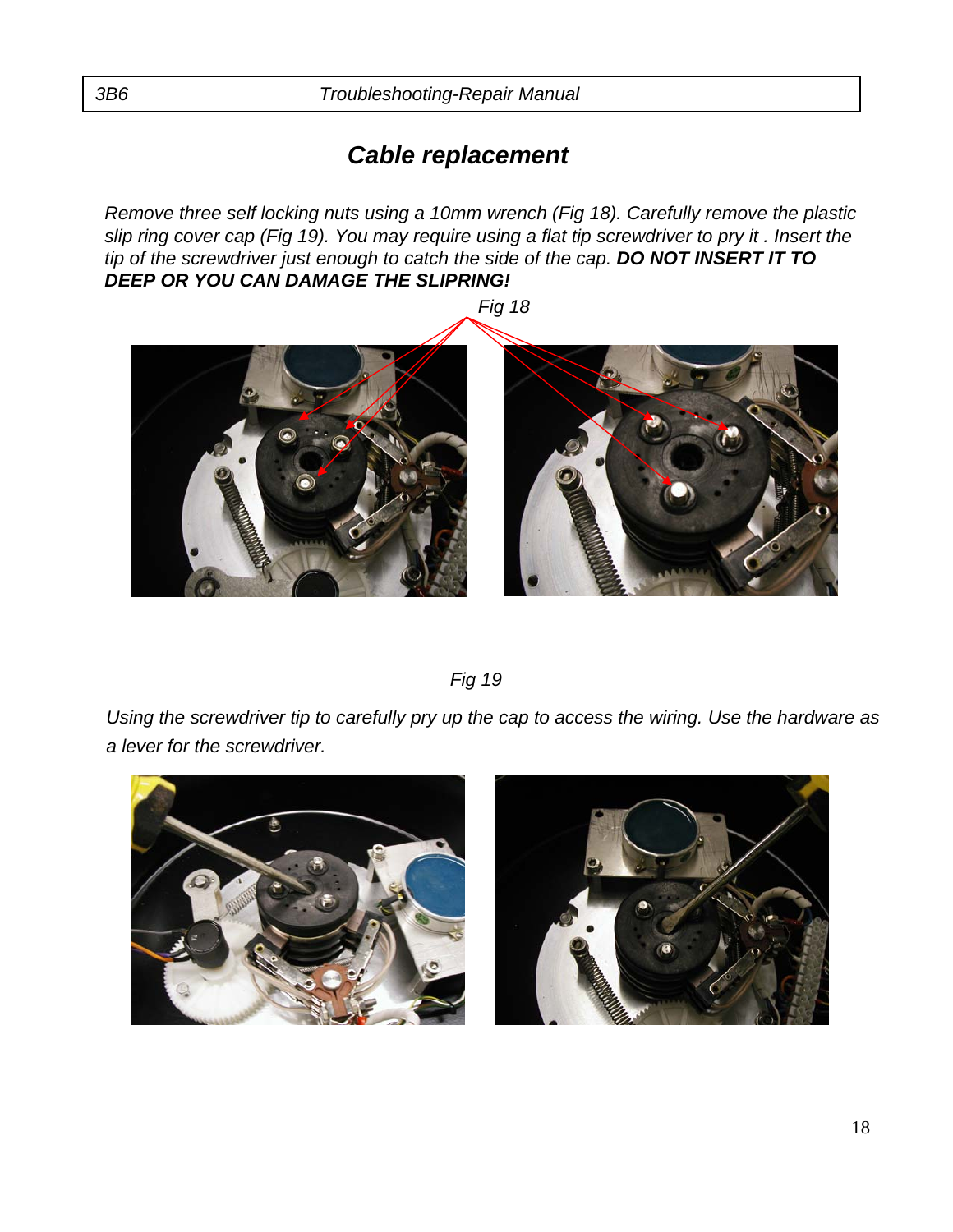*Remove three self locking nuts using a 10mm wrench (Fig 18). Carefully remove the plastic slip ring cover cap (Fig 19). You may require using a flat tip screwdriver to pry it . Insert the tip of the screwdriver just enough to catch the side of the cap. DO NOT INSERT IT TO DEEP OR YOU CAN DAMAGE THE SLIPRING!*



*Fig 19* 

*Using the screwdriver tip to carefully pry up the cap to access the wiring. Use the hardware as a lever for the screwdriver.*



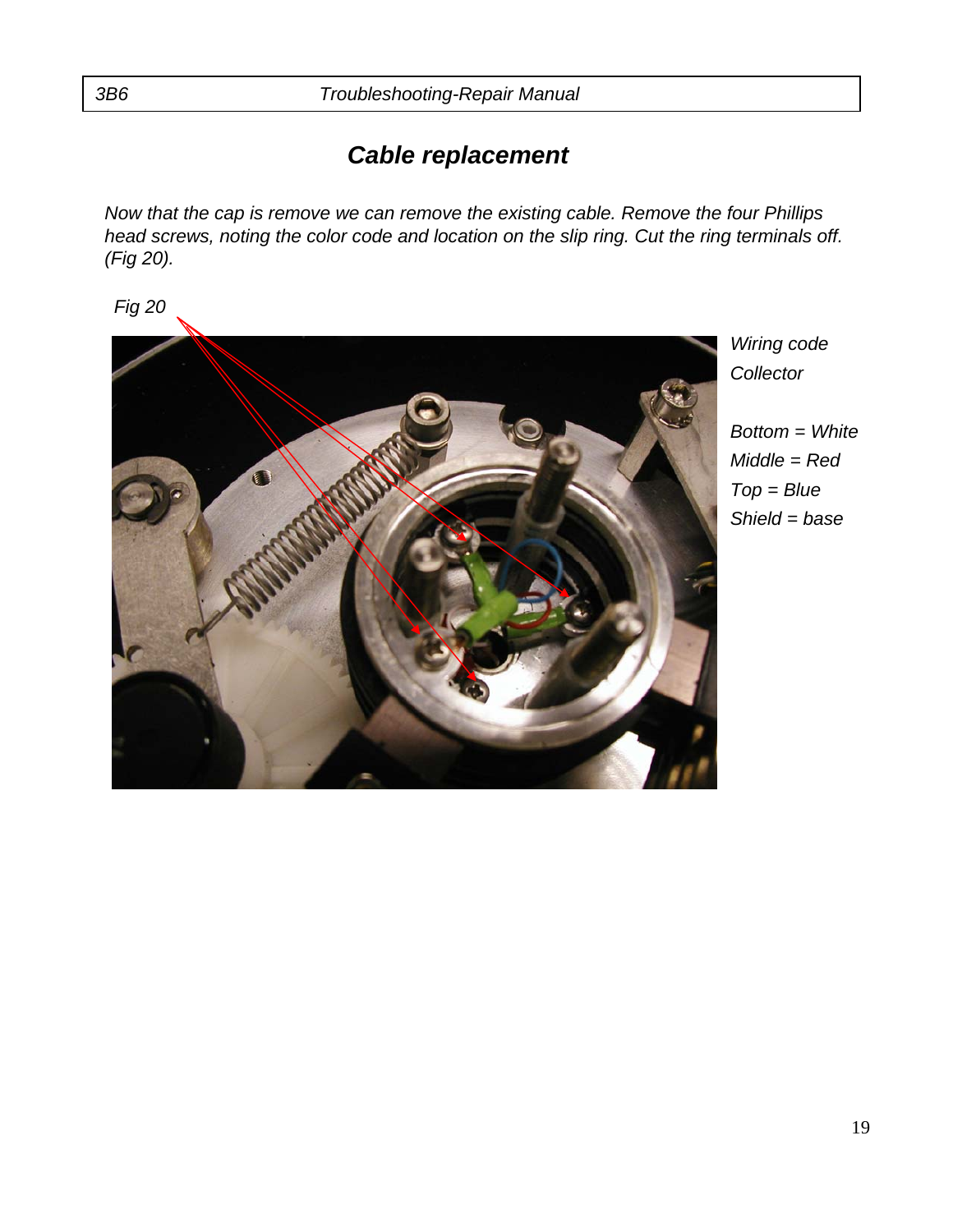*Now that the cap is remove we can remove the existing cable. Remove the four Phillips head screws, noting the color code and location on the slip ring. Cut the ring terminals off. (Fig 20).*

*Fig 20* 



*Wiring code Collector*

*Bottom = White Middle = Red Top = Blue Shield = base*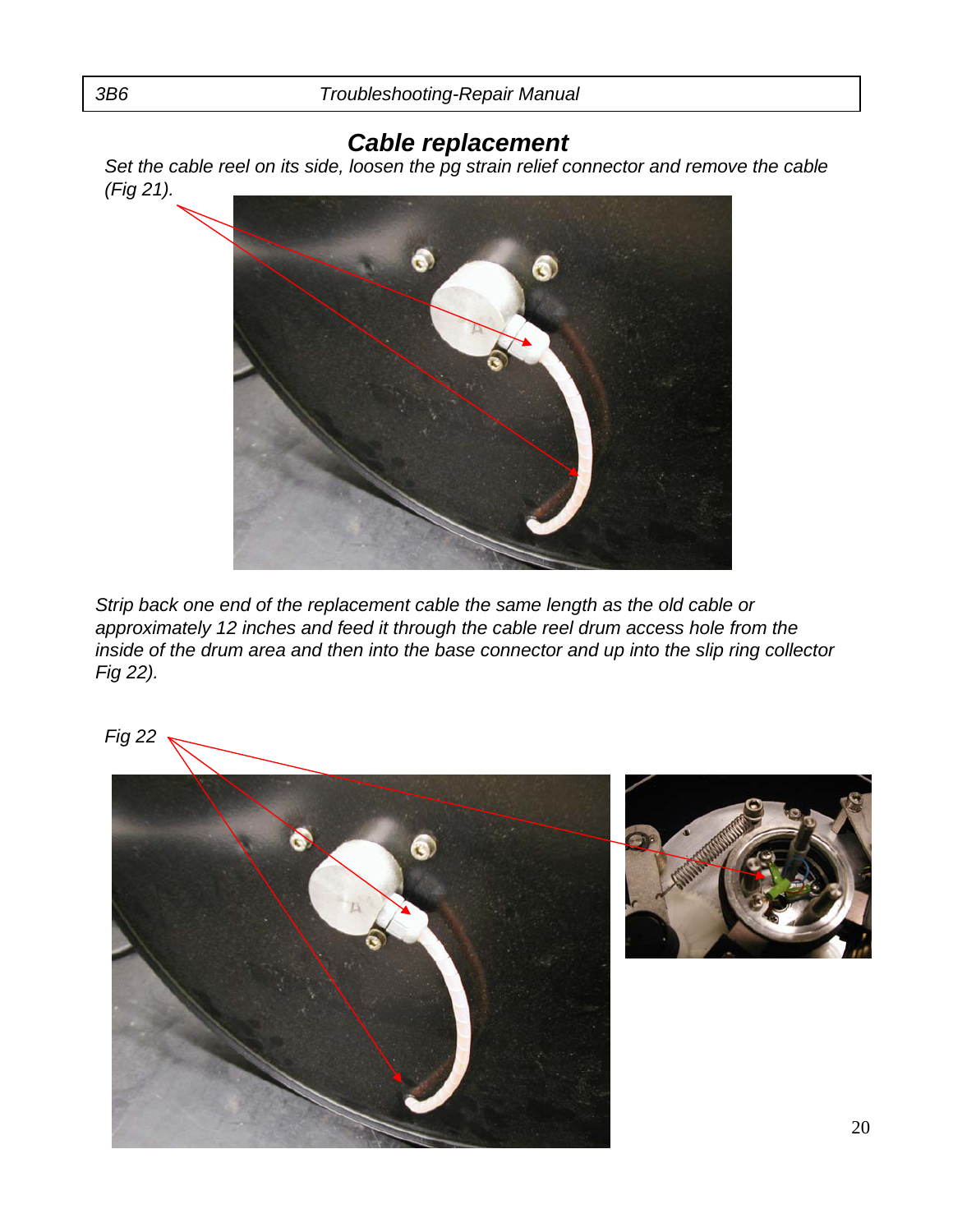*Set the cable reel on its side, loosen the pg strain relief connector and remove the cable (Fig 21).*



*Strip back one end of the replacement cable the same length as the old cable or approximately 12 inches and feed it through the cable reel drum access hole from the inside of the drum area and then into the base connector and up into the slip ring collector Fig 22).*

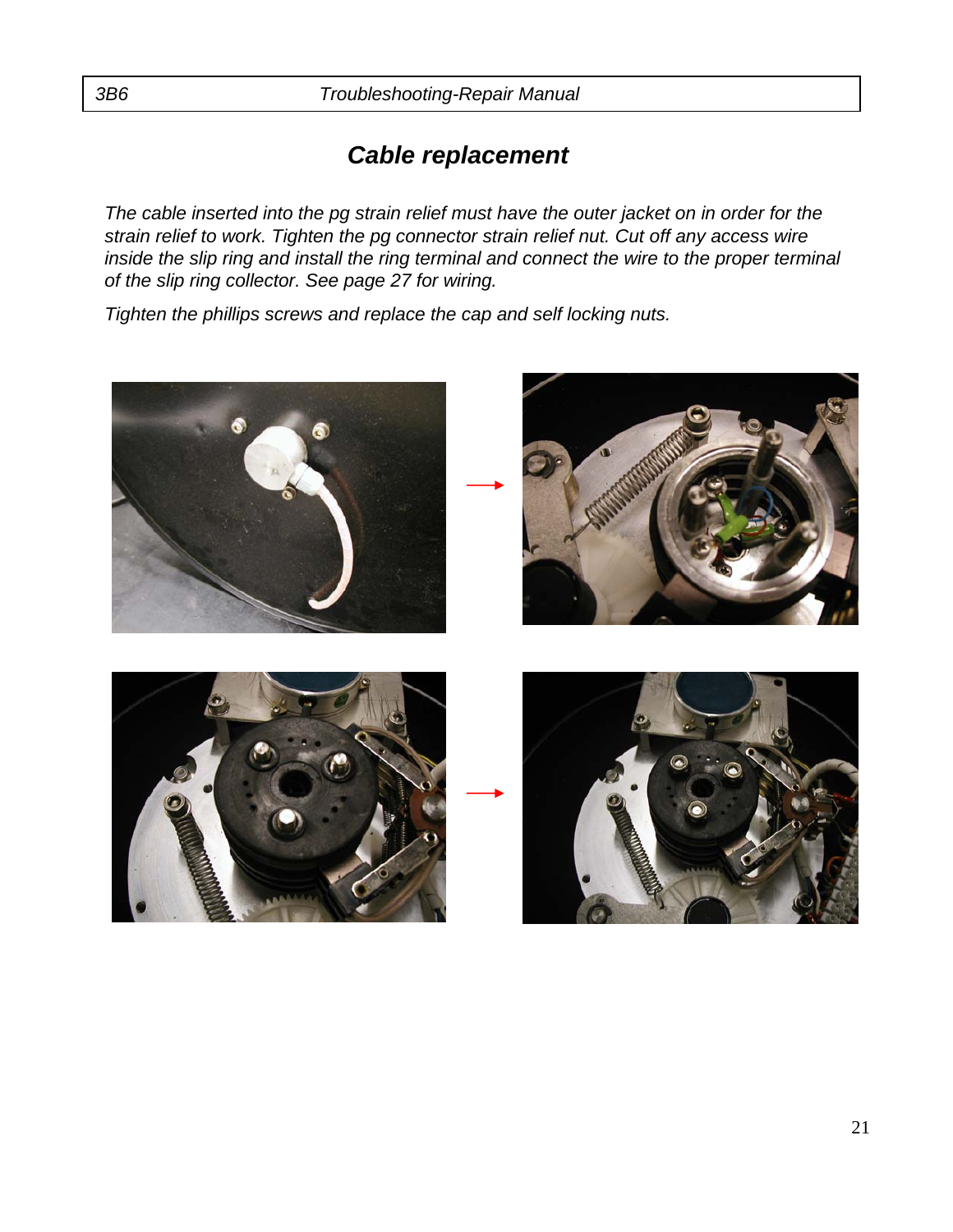*The cable inserted into the pg strain relief must have the outer jacket on in order for the strain relief to work. Tighten the pg connector strain relief nut. Cut off any access wire inside the slip ring and install the ring terminal and connect the wire to the proper terminal of the slip ring collector. See page 27 for wiring.*

*Tighten the phillips screws and replace the cap and self locking nuts.*

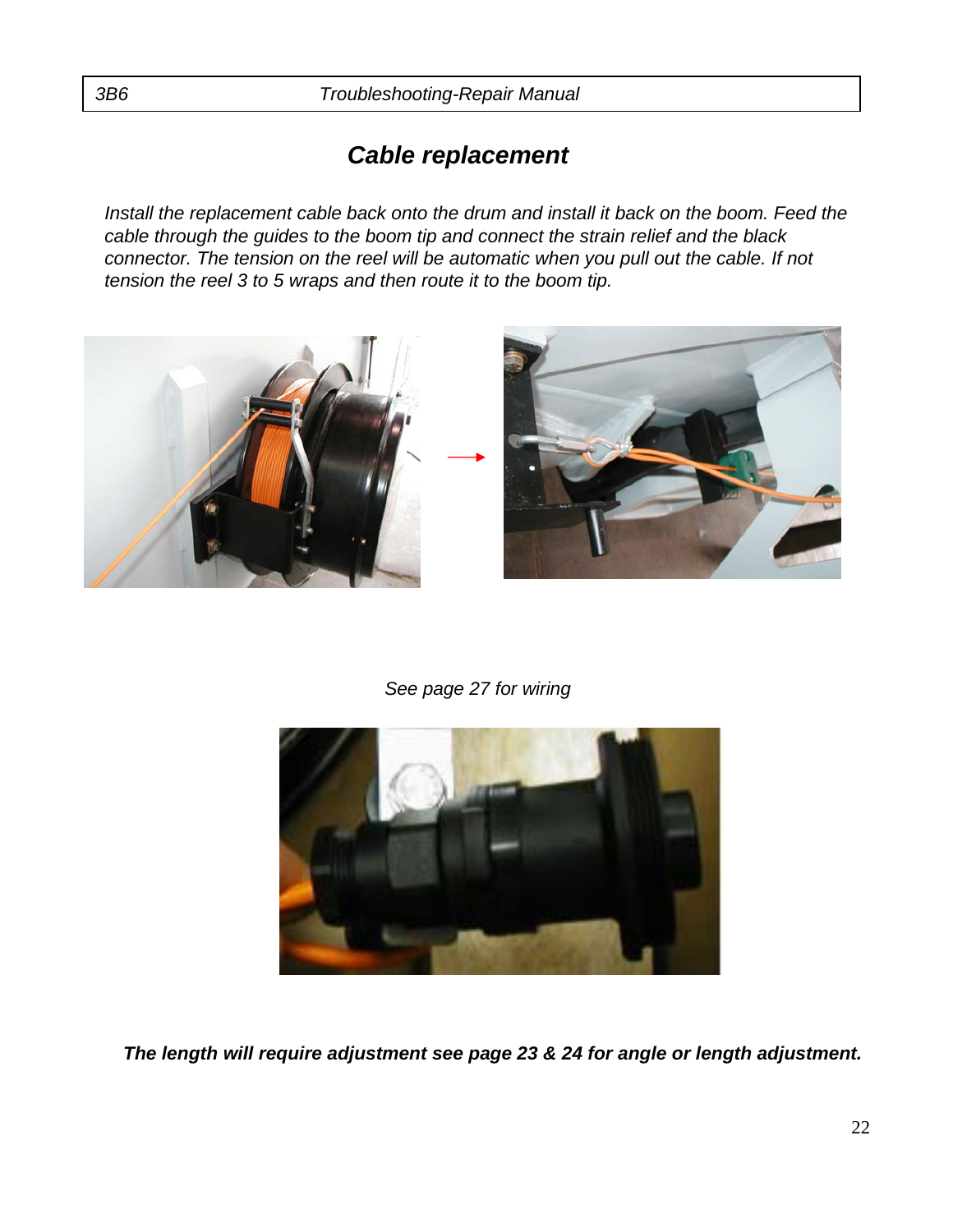*Install the replacement cable back onto the drum and install it back on the boom. Feed the cable through the guides to the boom tip and connect the strain relief and the black connector. The tension on the reel will be automatic when you pull out the cable. If not tension the reel 3 to 5 wraps and then route it to the boom tip.*



*See page 27 for wiring* 



*The length will require adjustment see page 23 & 24 for angle or length adjustment.*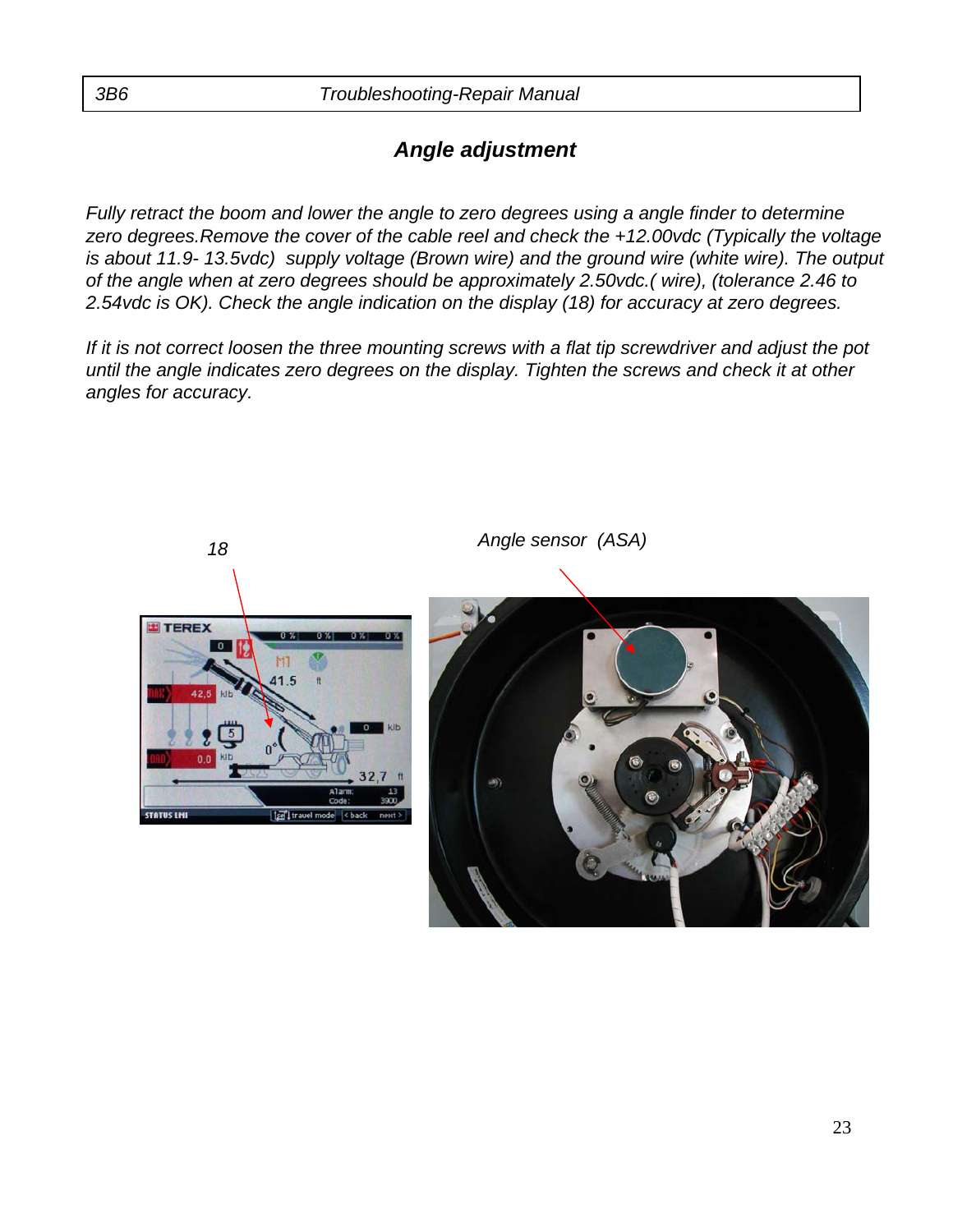### *Angle adjustment*

*Fully retract the boom and lower the angle to zero degrees using a angle finder to determine zero degrees.Remove the cover of the cable reel and check the +12.00vdc (Typically the voltage is about 11.9- 13.5vdc) supply voltage (Brown wire) and the ground wire (white wire). The output of the angle when at zero degrees should be approximately 2.50vdc.( wire), (tolerance 2.46 to 2.54vdc is OK). Check the angle indication on the display (18) for accuracy at zero degrees.* 

*If it is not correct loosen the three mounting screws with a flat tip screwdriver and adjust the pot until the angle indicates zero degrees on the display. Tighten the screws and check it at other angles for accuracy.*



*Angle sensor (ASA)*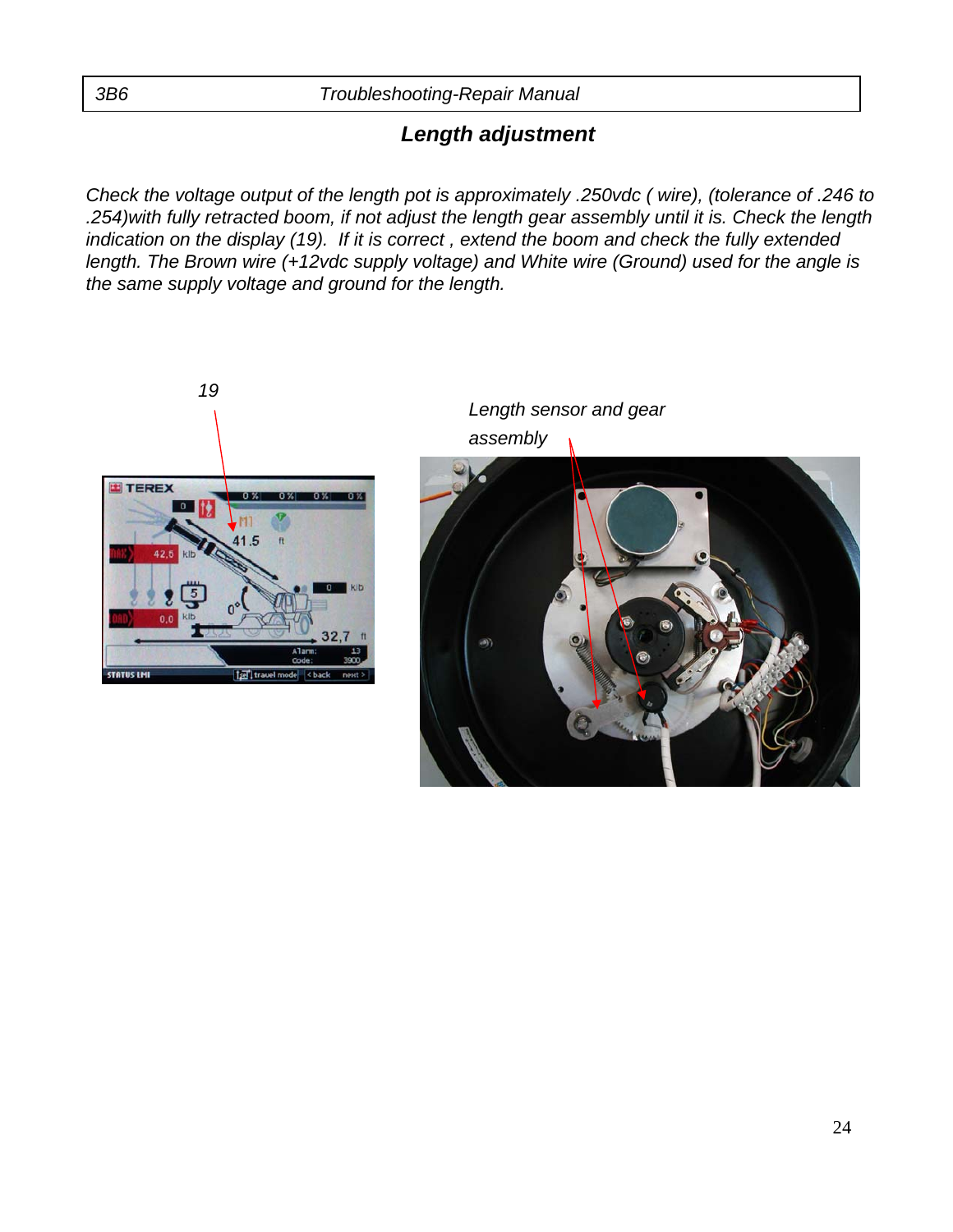### *Length adjustment*

*Check the voltage output of the length pot is approximately .250vdc ( wire), (tolerance of .246 to .254)with fully retracted boom, if not adjust the length gear assembly until it is. Check the length indication on the display (19). If it is correct , extend the boom and check the fully extended length. The Brown wire (+12vdc supply voltage) and White wire (Ground) used for the angle is the same supply voltage and ground for the length.*

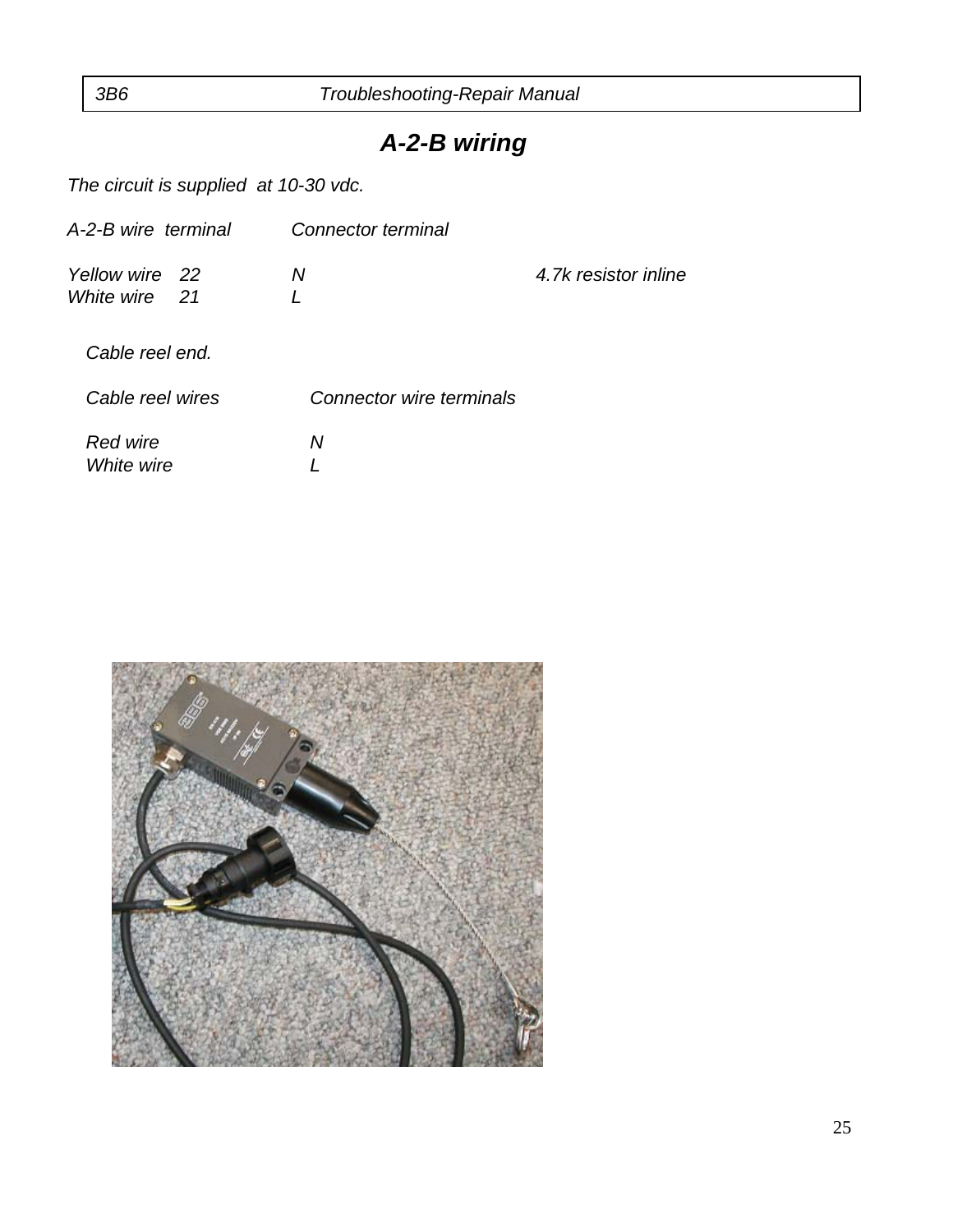### *A-2-B wiring*

*The circuit is supplied at 10-30 vdc.*

| A-2-B wire terminal             | Connector terminal       |                      |
|---------------------------------|--------------------------|----------------------|
| Yellow wire 22<br>White wire 21 | Ν                        | 4.7k resistor inline |
| Cable reel end.                 |                          |                      |
| Cable reel wires                | Connector wire terminals |                      |
| Red wire<br>White wire          | Ν                        |                      |

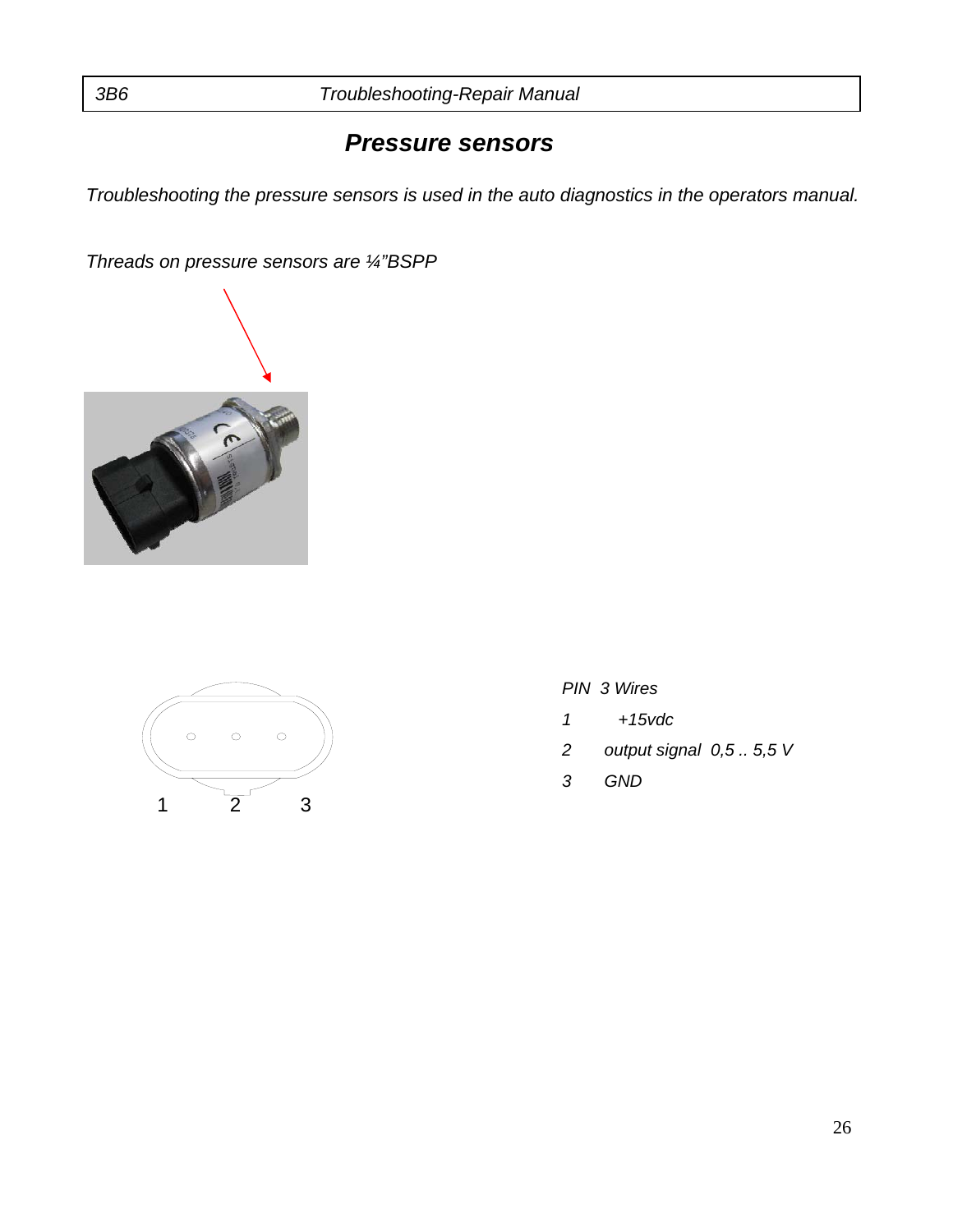### *Pressure sensors*

*Troubleshooting the pressure sensors is used in the auto diagnostics in the operators manual.*

*Threads on pressure sensors are ¼"BSPP*





- *PIN 3 Wires*
- *1 +15vdc*
- *2 output signal 0,5 .. 5,5 V*
- *3 GND*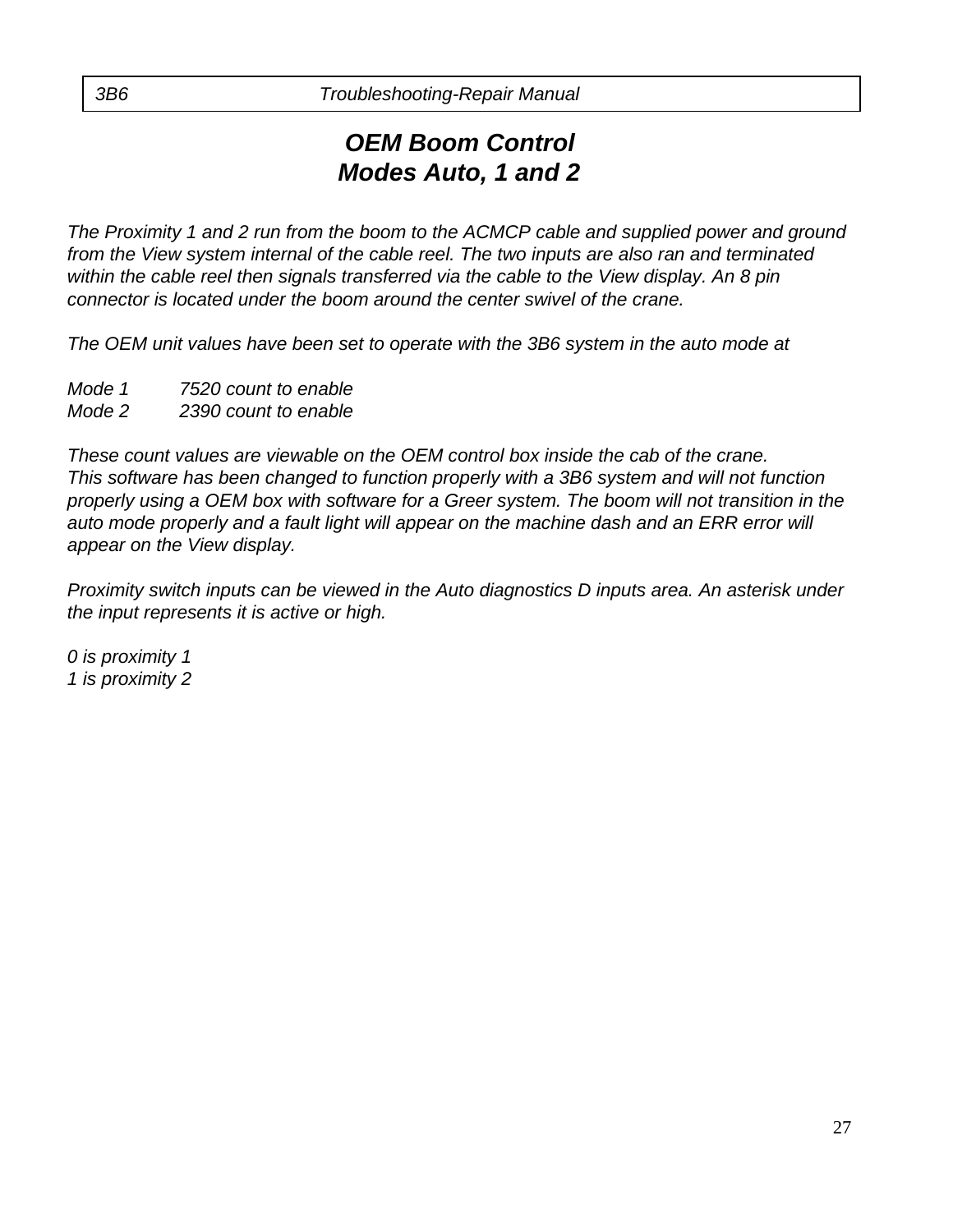### *OEM Boom Control Modes Auto, 1 and 2*

*The Proximity 1 and 2 run from the boom to the ACMCP cable and supplied power and ground from the View system internal of the cable reel. The two inputs are also ran and terminated within the cable reel then signals transferred via the cable to the View display. An 8 pin connector is located under the boom around the center swivel of the crane.*

*The OEM unit values have been set to operate with the 3B6 system in the auto mode at*

- *Mode 1 7520 count to enable*
- *Mode 2 2390 count to enable*

*These count values are viewable on the OEM control box inside the cab of the crane. This software has been changed to function properly with a 3B6 system and will not function properly using a OEM box with software for a Greer system. The boom will not transition in the*  auto mode properly and a fault light will appear on the machine dash and an ERR error will *appear on the View display.*

*Proximity switch inputs can be viewed in the Auto diagnostics D inputs area. An asterisk under the input represents it is active or high.*

*0 is proximity 1 1 is proximity 2*